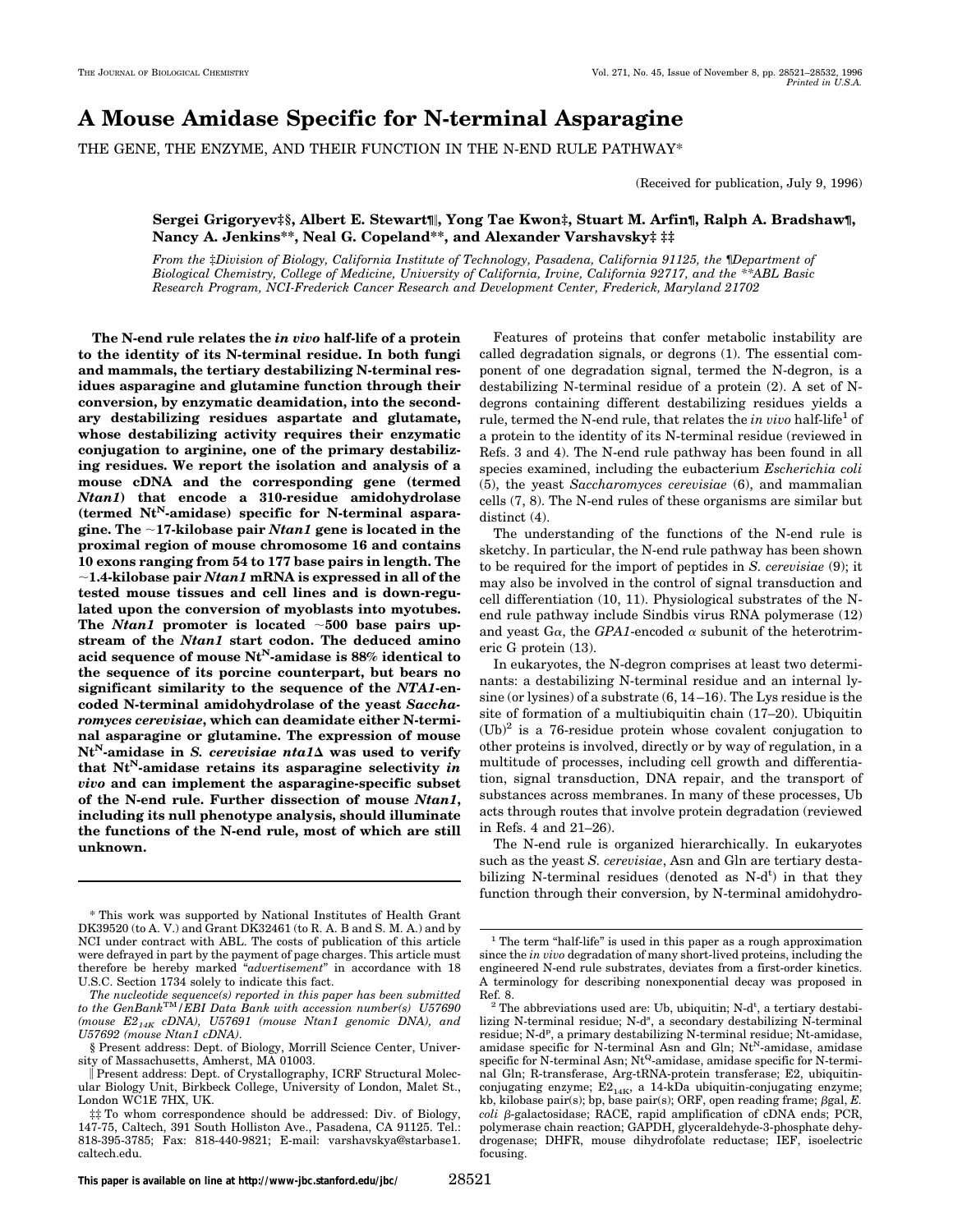# **A Mouse Amidase Specific for N-terminal Asparagine**

THE GENE, THE ENZYME, AND THEIR FUNCTION IN THE N-END RULE PATHWAY\*

(Received for publication, July 9, 1996)

## **Sergei Grigoryev‡§, Albert E. Stewart¶**i**, Yong Tae Kwon‡, Stuart M. Arfin¶, Ralph A. Bradshaw¶, Nancy A. Jenkins\*\*, Neal G. Copeland\*\*, and Alexander Varshavsky‡ ‡‡**

*From the* ‡*Division of Biology, California Institute of Technology, Pasadena, California 91125, the* ¶*Department of Biological Chemistry, College of Medicine, University of California, Irvine, California 92717, and the \*\*ABL Basic Research Program, NCI-Frederick Cancer Research and Development Center, Frederick, Maryland 21702*

**The N-end rule relates the** *in vivo* **half-life of a protein to the identity of its N-terminal residue. In both fungi and mammals, the tertiary destabilizing N-terminal residues asparagine and glutamine function through their conversion, by enzymatic deamidation, into the secondary destabilizing residues aspartate and glutamate, whose destabilizing activity requires their enzymatic conjugation to arginine, one of the primary destabilizing residues. We report the isolation and analysis of a mouse cDNA and the corresponding gene (termed** *Ntan1***) that encode a 310-residue amidohydrolase** (termed Nt<sup>N</sup>-amidase) specific for N-terminal aspara**gine. The** ;**17-kilobase pair** *Ntan1* **gene is located in the proximal region of mouse chromosome 16 and contains 10 exons ranging from 54 to 177 base pairs in length. The** ;**1.4-kilobase pair** *Ntan1* **mRNA is expressed in all of the tested mouse tissues and cell lines and is down-regulated upon the conversion of myoblasts into myotubes.** The *Ntan1* promoter is located  $~1$ 600 base pairs up**stream of the** *Ntan1* **start codon. The deduced amino acid sequence of mouse NtN-amidase is 88% identical to the sequence of its porcine counterpart, but bears no significant similarity to the sequence of the** *NTA1***-encoded N-terminal amidohydrolase of the yeast** *Saccharomyces cerevisiae***, which can deamidate either N-terminal asparagine or glutamine. The expression of mouse**  $Nt<sup>N</sup>$ -amidase in *S. cerevisiae nta1* $\Delta$  was used to verify **that NtN-amidase retains its asparagine selectivity** *in vivo* **and can implement the asparagine-specific subset of the N-end rule. Further dissection of mouse** *Ntan1***, including its null phenotype analysis, should illuminate the functions of the N-end rule, most of which are still unknown.**

Features of proteins that confer metabolic instability are called degradation signals, or degrons (1). The essential component of one degradation signal, termed the N-degron, is a destabilizing N-terminal residue of a protein (2). A set of Ndegrons containing different destabilizing residues yields a rule, termed the N-end rule, that relates the *in vivo* half-life<sup>1</sup> of a protein to the identity of its N-terminal residue (reviewed in Refs. 3 and 4). The N-end rule pathway has been found in all species examined, including the eubacterium *Escherichia coli* (5), the yeast *Saccharomyces cerevisiae* (6), and mammalian cells (7, 8). The N-end rules of these organisms are similar but distinct (4).

The understanding of the functions of the N-end rule is sketchy. In particular, the N-end rule pathway has been shown to be required for the import of peptides in *S. cerevisiae* (9); it may also be involved in the control of signal transduction and cell differentiation (10, 11). Physiological substrates of the Nend rule pathway include Sindbis virus RNA polymerase (12) and yeast  $Ga$ , the *GPA1*-encoded  $\alpha$  subunit of the heterotrimeric G protein (13).

In eukaryotes, the N-degron comprises at least two determinants: a destabilizing N-terminal residue and an internal lysine (or lysines) of a substrate (6, 14 –16). The Lys residue is the site of formation of a multiubiquitin chain (17–20). Ubiquitin  $(Ub)^2$  is a 76-residue protein whose covalent conjugation to other proteins is involved, directly or by way of regulation, in a multitude of processes, including cell growth and differentiation, signal transduction, DNA repair, and the transport of substances across membranes. In many of these processes, Ub acts through routes that involve protein degradation (reviewed in Refs. 4 and 21–26).

The N-end rule is organized hierarchically. In eukaryotes such as the yeast *S. cerevisiae*, Asn and Gln are tertiary destabilizing N-terminal residues (denoted as  $N-d<sup>t</sup>$ ) in that they function through their conversion, by N-terminal amidohydro-

<sup>\*</sup> This work was supported by National Institutes of Health Grant DK39520 (to A. V.) and Grant DK32461 (to R. A. B and S. M. A.) and by NCI under contract with ABL. The costs of publication of this article were defrayed in part by the payment of page charges. This article must therefore be hereby marked "*advertisement*" in accordance with 18 U.S.C. Section 1734 solely to indicate this fact.

*The nucleotide sequence(s) reported in this paper has been submitted to the GenBank*TM*/EBI Data Bank with accession number(s) U57690 (mouse E214K cDNA), U57691 (mouse Ntan1 genomic DNA), and U57692 (mouse Ntan1 cDNA)*.

<sup>§</sup> Present address: Dept. of Biology, Morrill Science Center, University of Massachusetts, Amherst, MA 01003.

i Present address: Dept. of Crystallography, ICRF Structural Molecular Biology Unit, Birkbeck College, University of London, Malet St., London WC1E 7HX, UK.

<sup>‡‡</sup> To whom correspondence should be addressed: Div. of Biology, 147-75, Caltech, 391 South Holliston Ave., Pasadena, CA 91125. Tel.: 818-395-3785; Fax: 818-440-9821; E-mail: varshavskya@starbase1. caltech.edu.

 $^{\rm 1}$  The term "half-life" is used in this paper as a rough approximation since the *in vivo* degradation of many short-lived proteins, including the engineered N-end rule substrates, deviates from a first-order kinetics. A terminology for describing nonexponential decay was proposed in

Ref. 8.<br><sup>2</sup> The abbreviations used are: Ub, ubiquitin; N-d<sup>t</sup>, a tertiary destabilizing N-terminal residue; N-d<sup>s</sup>, a secondary destabilizing N-terminal residue; N-d<sup>p</sup>, a primary destabilizing N-terminal residue; Nt-amidase, amidase specific for N-terminal Asn and Gln;  $Nt<sup>N</sup>$ -amidase, amidase specific for N-terminal Asn;  $Nt^{Q}$ -amidase, amidase specific for N-terminal Gln; R-transferase, Arg-tRNA-protein transferase; E2, ubiquitinconjugating enzyme;  $E2_{14K}$ , a 14-kDa ubiquitin-conjugating enzyme; kb, kilobase pair(s); bp, base pair(s); ORF, open reading frame;  $\beta$ gal,  $E$ . *coli* b-galactosidase; RACE, rapid amplification of cDNA ends; PCR, polymerase chain reaction; GAPDH, glyceraldehyde-3-phosphate dehydrogenase; DHFR, mouse dihydrofolate reductase; IEF, isoelectric focusing.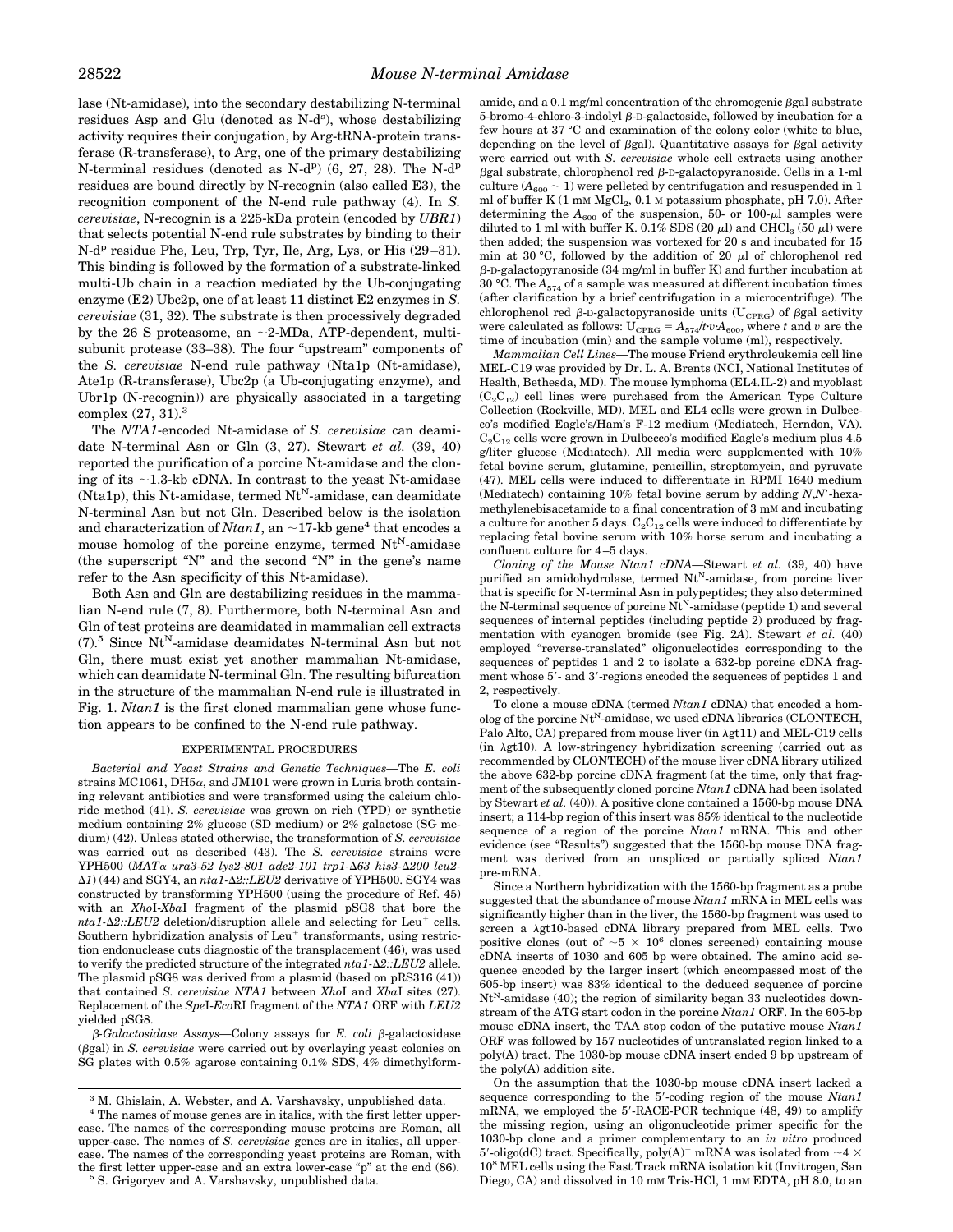lase (Nt-amidase), into the secondary destabilizing N-terminal residues Asp and Glu (denoted as N-d<sup>s</sup>), whose destabilizing activity requires their conjugation, by Arg-tRNA-protein transferase (R-transferase), to Arg, one of the primary destabilizing N-terminal residues (denoted as N-d<sup>p</sup>)  $(6, 27, 28)$ . The N-d<sup>p</sup> residues are bound directly by N-recognin (also called E3), the recognition component of the N-end rule pathway (4). In *S. cerevisiae*, N-recognin is a 225-kDa protein (encoded by *UBR1*) that selects potential N-end rule substrates by binding to their N-d<sup>p</sup> residue Phe, Leu, Trp, Tyr, Ile, Arg, Lys, or His (29–31). This binding is followed by the formation of a substrate-linked multi-Ub chain in a reaction mediated by the Ub-conjugating enzyme (E2) Ubc2p, one of at least 11 distinct E2 enzymes in *S. cerevisiae* (31, 32). The substrate is then processively degraded by the 26 S proteasome, an  $\sim$ 2-MDa, ATP-dependent, multisubunit protease (33–38). The four "upstream" components of the *S. cerevisiae* N-end rule pathway (Nta1p (Nt-amidase), Ate1p (R-transferase), Ubc2p (a Ub-conjugating enzyme), and Ubr1p (N-recognin)) are physically associated in a targeting complex (27, 31).<sup>3</sup>

The *NTA1*-encoded Nt-amidase of *S. cerevisiae* can deamidate N-terminal Asn or Gln (3, 27). Stewart *et al.* (39, 40) reported the purification of a porcine Nt-amidase and the cloning of its  $\sim$ 1.3-kb cDNA. In contrast to the yeast Nt-amidase  $(Nta1p)$ , this Nt-amidase, termed Nt<sup>N</sup>-amidase, can deamidate N-terminal Asn but not Gln. Described below is the isolation and characterization of *Ntan1*, an  $\sim$ 17-kb gene<sup>4</sup> that encodes a mouse homolog of the porcine enzyme, termed  $Nt^N$ -amidase (the superscript "N" and the second "N" in the gene's name refer to the Asn specificity of this Nt-amidase).

Both Asn and Gln are destabilizing residues in the mammalian N-end rule (7, 8). Furthermore, both N-terminal Asn and Gln of test proteins are deamidated in mammalian cell extracts  $(7).5$  Since  $Nt^N$ -amidase deamidates N-terminal Asn but not Gln, there must exist yet another mammalian Nt-amidase, which can deamidate N-terminal Gln. The resulting bifurcation in the structure of the mammalian N-end rule is illustrated in Fig. 1. *Ntan1* is the first cloned mammalian gene whose function appears to be confined to the N-end rule pathway.

#### EXPERIMENTAL PROCEDURES

*Bacterial and Yeast Strains and Genetic Techniques—*The *E. coli* strains MC1061, DH $5\alpha$ , and JM101 were grown in Luria broth containing relevant antibiotics and were transformed using the calcium chloride method (41). *S. cerevisiae* was grown on rich (YPD) or synthetic medium containing 2% glucose (SD medium) or 2% galactose (SG medium) (42). Unless stated otherwise, the transformation of *S. cerevisiae* was carried out as described (43). The *S. cerevisiae* strains were YPH500 (MATα *ura3-52 lys2-801 ade2-101 trp1-*Δ63 his3-Δ200 leu2- $\Delta$ *1*) (44) and SGY4, an *nta1-* $\Delta$ *2::LEU2* derivative of YPH500. SGY4 was constructed by transforming YPH500 (using the procedure of Ref. 45) with an *Xho*I-*Xba*I fragment of the plasmid pSG8 that bore the  $nta1-\Delta2::LEU2$  deletion/disruption allele and selecting for Leu<sup>+</sup> cells. Southern hybridization analysis of  $Leu<sup>+</sup>$  transformants, using restriction endonuclease cuts diagnostic of the transplacement (46), was used to verify the predicted structure of the integrated *nta1-*D*2::LEU2* allele. The plasmid pSG8 was derived from a plasmid (based on pRS316 (41)) that contained *S. cerevisiae NTA1* between *Xho*I and *Xba*I sites (27). Replacement of the *Spe*I-*Eco*RI fragment of the *NTA1* ORF with *LEU2* yielded pSG8.

b*-Galactosidase Assays—*Colony assays for *E. coli* b-galactosidase (bgal) in *S. cerevisiae* were carried out by overlaying yeast colonies on SG plates with 0.5% agarose containing 0.1% SDS, 4% dimethylform-

<sup>4</sup> The names of mouse genes are in italics, with the first letter uppercase. The names of the corresponding mouse proteins are Roman, all upper-case. The names of *S. cerevisiae* genes are in italics, all uppercase. The names of the corresponding yeast proteins are Roman, with the first letter upper-case and an extra lower-case "p" at the end (86). <sup>5</sup> S. Grigoryev and A. Varshavsky, unpublished data.

amide, and a  $0.1$  mg/ml concentration of the chromogenic  $\beta$ gal substrate 5-bromo-4-chloro-3-indolyl  $\beta$ -D-galactoside, followed by incubation for a few hours at 37 °C and examination of the colony color (white to blue, depending on the level of  $\beta$ gal). Quantitative assays for  $\beta$ gal activity were carried out with *S. cerevisiae* whole cell extracts using another  $\beta$ gal substrate, chlorophenol red  $\beta$ -D-galactopyranoside. Cells in a 1-ml culture  $(A_{600} \sim 1)$  were pelleted by centrifugation and resuspended in 1 ml of buffer K  $(1 \text{ mm } MgCl<sub>2</sub>, 0.1 \text{ m}$  potassium phosphate, pH 7.0). After determining the  $A_{600}$  of the suspension, 50- or 100- $\mu$ l samples were diluted to 1 ml with buffer K. 0.1% SDS (20  $\mu$ l) and CHCl<sub>3</sub> (50  $\mu$ l) were then added; the suspension was vortexed for 20 s and incubated for 15 min at 30 °C, followed by the addition of 20  $\mu$ l of chlorophenol red  $\beta$ -D-galactopyranoside (34 mg/ml in buffer K) and further incubation at 30 °C. The  $A_{574}$  of a sample was measured at different incubation times (after clarification by a brief centrifugation in a microcentrifuge). The chlorophenol red  $\beta$ -D-galactopyranoside units (U<sub>CPRG</sub>) of  $\beta$ gal activity were calculated as follows:  $U_{CPRG} = A_{574}/tvA_{600}$ , where *t* and *v* are the time of incubation (min) and the sample volume (ml), respectively.

*Mammalian Cell Lines—*The mouse Friend erythroleukemia cell line MEL-C19 was provided by Dr. L. A. Brents (NCI, National Institutes of Health, Bethesda, MD). The mouse lymphoma (EL4.IL-2) and myoblast  $(C_2C_{12})$  cell lines were purchased from the American Type Culture Collection (Rockville, MD). MEL and EL4 cells were grown in Dulbecco's modified Eagle's/Ham's F-12 medium (Mediatech, Herndon, VA).  $C_2C_{12}$  cells were grown in Dulbecco's modified Eagle's medium plus 4.5 g/liter glucose (Mediatech). All media were supplemented with 10% fetal bovine serum, glutamine, penicillin, streptomycin, and pyruvate (47). MEL cells were induced to differentiate in RPMI 1640 medium (Mediatech) containing  $10\%$  fetal bovine serum by adding  $N$ , $N'$ -hexamethylenebisacetamide to a final concentration of 3 mM and incubating a culture for another 5 days.  $C_2C_{12}$  cells were induced to differentiate by replacing fetal bovine serum with 10% horse serum and incubating a confluent culture for 4 –5 days.

*Cloning of the Mouse Ntan1 cDNA—*Stewart *et al.* (39, 40) have purified an amidohydrolase, termed  $Nt<sup>N</sup>$ -amidase, from porcine liver that is specific for N-terminal Asn in polypeptides; they also determined the N-terminal sequence of porcine  $Nt^N$ -amidase (peptide 1) and several sequences of internal peptides (including peptide 2) produced by fragmentation with cyanogen bromide (see Fig. 2*A*). Stewart *et al.* (40) employed "reverse-translated" oligonucleotides corresponding to the sequences of peptides 1 and 2 to isolate a 632-bp porcine cDNA fragment whose 5'- and 3'-regions encoded the sequences of peptides 1 and 2, respectively.

To clone a mouse cDNA (termed *Ntan1* cDNA) that encoded a homolog of the porcine  $Nt^N$ -amidase, we used cDNA libraries (CLONTECH, Palo Alto, CA) prepared from mouse liver (in  $\lambda g t11$ ) and MEL-C19 cells  $(in \lambda gt10)$ . A low-stringency hybridization screening (carried out as recommended by CLONTECH) of the mouse liver cDNA library utilized the above 632-bp porcine cDNA fragment (at the time, only that fragment of the subsequently cloned porcine *Ntan1* cDNA had been isolated by Stewart *et al.* (40)). A positive clone contained a 1560-bp mouse DNA insert; a 114-bp region of this insert was 85% identical to the nucleotide sequence of a region of the porcine *Ntan1* mRNA. This and other evidence (see "Results") suggested that the 1560-bp mouse DNA fragment was derived from an unspliced or partially spliced *Ntan1* pre-mRNA.

Since a Northern hybridization with the 1560-bp fragment as a probe suggested that the abundance of mouse *Ntan1* mRNA in MEL cells was significantly higher than in the liver, the 1560-bp fragment was used to screen a  $\lambda$ gt10-based cDNA library prepared from MEL cells. Two positive clones (out of  $\sim 5 \times 10^6$  clones screened) containing mouse cDNA inserts of 1030 and 605 bp were obtained. The amino acid sequence encoded by the larger insert (which encompassed most of the 605-bp insert) was 83% identical to the deduced sequence of porcine  $Nt<sup>N</sup>$ -amidase (40); the region of similarity began 33 nucleotides downstream of the ATG start codon in the porcine *Ntan1* ORF. In the 605-bp mouse cDNA insert, the TAA stop codon of the putative mouse *Ntan1* ORF was followed by 157 nucleotides of untranslated region linked to a poly(A) tract. The 1030-bp mouse cDNA insert ended 9 bp upstream of the poly(A) addition site.

On the assumption that the 1030-bp mouse cDNA insert lacked a sequence corresponding to the 5'-coding region of the mouse *Ntan1* mRNA, we employed the 5'-RACE-PCR technique (48, 49) to amplify the missing region, using an oligonucleotide primer specific for the 1030-bp clone and a primer complementary to an *in vitro* produced 5'-oligo(dC) tract. Specifically, poly(A)<sup>+</sup> mRNA was isolated from  $\sim$ 4  $\times$ 10<sup>8</sup> MEL cells using the Fast Track mRNA isolation kit (Invitrogen, San Diego, CA) and dissolved in 10 mm Tris-HCl, 1 mm EDTA, pH 8.0, to an

<sup>3</sup> M. Ghislain, A. Webster, and A. Varshavsky, unpublished data.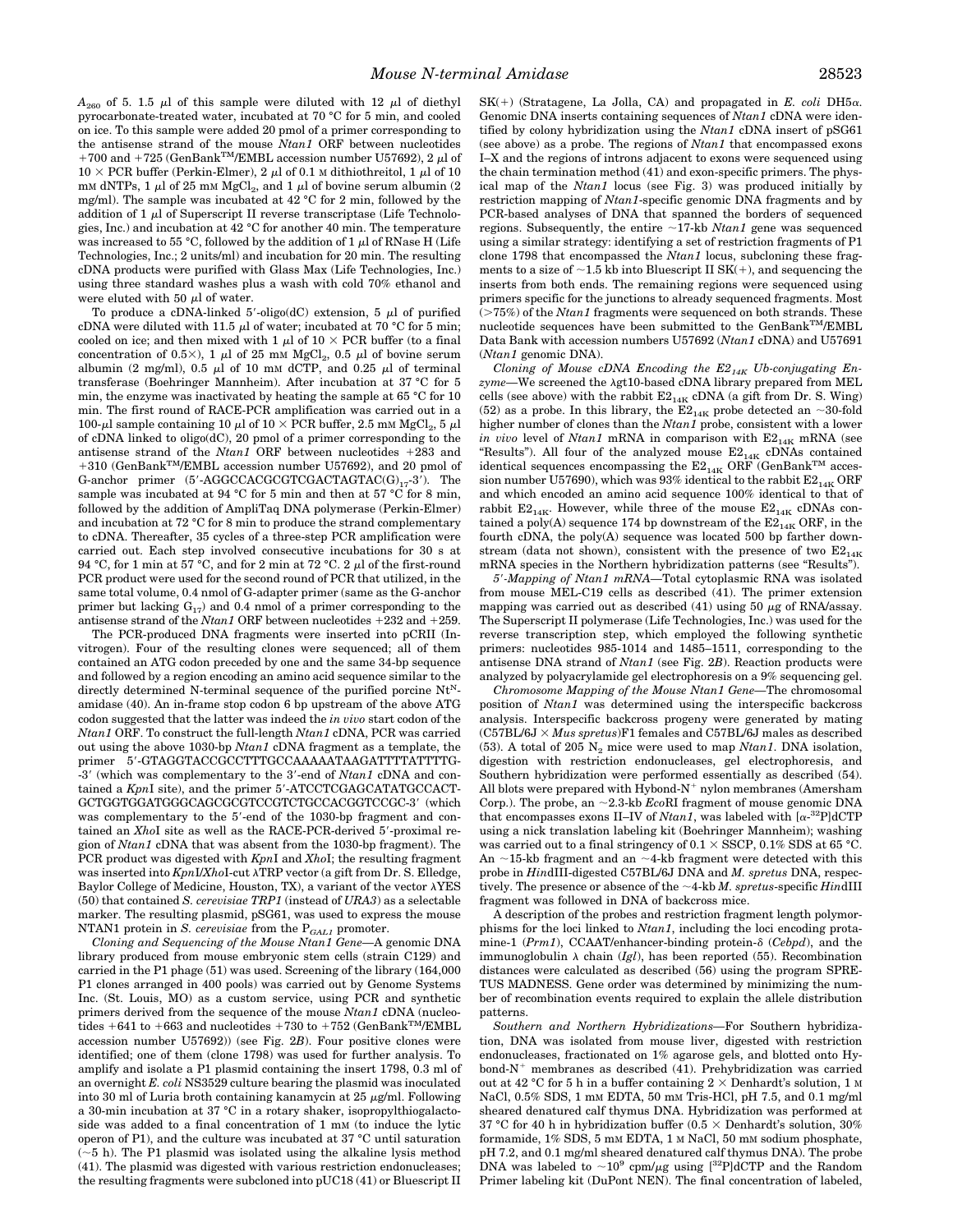$A_{260}$  of 5. 1.5  $\mu$ l of this sample were diluted with 12  $\mu$ l of diethyl pyrocarbonate-treated water, incubated at 70 °C for 5 min, and cooled on ice. To this sample were added 20 pmol of a primer corresponding to the antisense strand of the mouse *Ntan1* ORF between nucleotides +700 and +725 (GenBank<sup>TM</sup>/EMBL accession number U57692), 2  $\mu$ l of  $10 \times PCR$  buffer (Perkin-Elmer), 2  $\mu$ l of 0.1 M dithiothreitol, 1  $\mu$ l of 10 mm dNTPs, 1  $\mu$ l of 25 mm MgCl<sub>2</sub>, and 1  $\mu$ l of bovine serum albumin (2 mg/ml). The sample was incubated at 42 °C for 2 min, followed by the addition of  $1 \mu$ l of Superscript II reverse transcriptase (Life Technologies, Inc.) and incubation at 42 °C for another 40 min. The temperature was increased to 55 °C, followed by the addition of 1  $\mu$ l of RNase H (Life Technologies, Inc.; 2 units/ml) and incubation for 20 min. The resulting cDNA products were purified with Glass Max (Life Technologies, Inc.) using three standard washes plus a wash with cold 70% ethanol and were eluted with 50  $\mu$ l of water.

To produce a cDNA-linked 5'-oligo(dC) extension, 5  $\mu$ l of purified cDNA were diluted with 11.5  $\mu$ l of water; incubated at 70 °C for 5 min; cooled on ice; and then mixed with 1  $\mu$ l of 10  $\times$  PCR buffer (to a final concentration of 0.5 $\times$ ), 1  $\mu$ l of 25 mM MgCl<sub>2</sub>, 0.5  $\mu$ l of bovine serum albumin (2 mg/ml), 0.5  $\mu$ l of 10 mm dCTP, and 0.25  $\mu$ l of terminal transferase (Boehringer Mannheim). After incubation at 37 °C for 5 min, the enzyme was inactivated by heating the sample at 65 °C for 10 min. The first round of RACE-PCR amplification was carried out in a 100-µl sample containing 10 µl of 10  $\times$  PCR buffer, 2.5 mM MgCl<sub>2</sub>, 5 µl of cDNA linked to oligo(dC), 20 pmol of a primer corresponding to the antisense strand of the  $N \tan 1$  ORF between nucleotides  $+283$  and +310 (GenBank<sup>TM</sup>/EMBL accession number U57692), and 20 pmol of G-anchor primer  $(5'-AGGCCACCGTCGACTAGTAC(G)<sub>17</sub>-3')$ . The sample was incubated at 94 °C for 5 min and then at 57 °C for 8 min, followed by the addition of AmpliTaq DNA polymerase (Perkin-Elmer) and incubation at 72 °C for 8 min to produce the strand complementary to cDNA. Thereafter, 35 cycles of a three-step PCR amplification were carried out. Each step involved consecutive incubations for 30 s at 94 °C, for 1 min at 57 °C, and for 2 min at 72 °C. 2  $\mu$ l of the first-round PCR product were used for the second round of PCR that utilized, in the same total volume, 0.4 nmol of G-adapter primer (same as the G-anchor primer but lacking  $G_{17}$ ) and 0.4 nmol of a primer corresponding to the antisense strand of the *Ntan1* ORF between nucleotides  $+232$  and  $+259$ .

The PCR-produced DNA fragments were inserted into pCRII (Invitrogen). Four of the resulting clones were sequenced; all of them contained an ATG codon preceded by one and the same 34-bp sequence and followed by a region encoding an amino acid sequence similar to the directly determined N-terminal sequence of the purified porcine  $N_t^N$ amidase (40). An in-frame stop codon 6 bp upstream of the above ATG codon suggested that the latter was indeed the *in vivo* start codon of the *Ntan1* ORF. To construct the full-length *Ntan1* cDNA, PCR was carried out using the above 1030-bp *Ntan1* cDNA fragment as a template, the primer 5'-GTAGGTACCGCCTTTGCCAAAAATAAGATTTTATTTTG--3' (which was complementary to the 3'-end of  $Ntan1$  cDNA and contained a *KpnI* site), and the primer 5'-ATCCTCGAGCATATGCCACT-GCTGGTGGATGGGCAGCGCGTCCGTCTGCCACGGTCCGC-3' (which was complementary to the 5'-end of the 1030-bp fragment and contained an *XhoI* site as well as the RACE-PCR-derived 5'-proximal region of *Ntan1* cDNA that was absent from the 1030-bp fragment). The PCR product was digested with *Kpn*I and *Xho*I; the resulting fragment was inserted into *KpnI/XhoI-cut*  $\lambda$ TRP vector (a gift from Dr. S. Elledge, Baylor College of Medicine, Houston, TX), a variant of the vector  $\lambda$ YES (50) that contained *S. cerevisiae TRP1* (instead of *URA3*) as a selectable marker. The resulting plasmid, pSG61, was used to express the mouse NTAN1 protein in  $S.$   $cervevisiae$  from the  ${\bf P}_{GALI}$  promoter.

*Cloning and Sequencing of the Mouse Ntan1 Gene—*A genomic DNA library produced from mouse embryonic stem cells (strain C129) and carried in the P1 phage (51) was used. Screening of the library (164,000 P1 clones arranged in 400 pools) was carried out by Genome Systems Inc. (St. Louis, MO) as a custom service, using PCR and synthetic primers derived from the sequence of the mouse *Ntan1* cDNA (nucleotides  $+641$  to  $+663$  and nucleotides  $+730$  to  $+752$  (GenBank<sup>TM</sup>/EMBL accession number U57692)) (see Fig. 2*B*). Four positive clones were identified; one of them (clone 1798) was used for further analysis. To amplify and isolate a P1 plasmid containing the insert 1798, 0.3 ml of an overnight *E. coli* NS3529 culture bearing the plasmid was inoculated into 30 ml of Luria broth containing kanamycin at 25  $\mu$ g/ml. Following a 30-min incubation at 37 °C in a rotary shaker, isopropylthiogalactoside was added to a final concentration of 1 mM (to induce the lytic operon of P1), and the culture was incubated at 37 °C until saturation  $(\sim 5$  h). The P1 plasmid was isolated using the alkaline lysis method (41). The plasmid was digested with various restriction endonucleases; the resulting fragments were subcloned into pUC18 (41) or Bluescript II

 $SK(+)$  (Stratagene, La Jolla, CA) and propagated in *E. coli* DH5 $\alpha$ . Genomic DNA inserts containing sequences of *Ntan1* cDNA were identified by colony hybridization using the *Ntan1* cDNA insert of pSG61 (see above) as a probe. The regions of *Ntan1* that encompassed exons I–X and the regions of introns adjacent to exons were sequenced using the chain termination method (41) and exon-specific primers. The physical map of the *Ntan1* locus (see Fig. 3) was produced initially by restriction mapping of *Ntan1*-specific genomic DNA fragments and by PCR-based analyses of DNA that spanned the borders of sequenced regions. Subsequently, the entire  $\sim$ 17-kb *Ntan1* gene was sequenced using a similar strategy: identifying a set of restriction fragments of P1 clone 1798 that encompassed the *Ntan1* locus, subcloning these fragments to a size of  $\sim$ 1.5 kb into Bluescript II SK(+), and sequencing the inserts from both ends. The remaining regions were sequenced using primers specific for the junctions to already sequenced fragments. Most  $($ >75%) of the *Ntan1* fragments were sequenced on both strands. These nucleotide sequences have been submitted to the GenBank<sup>TM</sup>/EMBL Data Bank with accession numbers U57692 (*Ntan1* cDNA) and U57691 (*Ntan1* genomic DNA).

Cloning of Mouse cDNA Encoding the E2<sub>14K</sub> Ub-conjugating En*zyme—*We screened the <sup>l</sup>gt10-based cDNA library prepared from MEL cells (see above) with the rabbit  $E2_{14K}$  cDNA (a gift from Dr. S. Wing) (52) as a probe. In this library, the  $\overline{\mathrm{E2}}_{14\mathrm{K}}$  probe detected an  ${\sim}30\text{-}\mathrm{fold}$ higher number of clones than the *Ntan1* probe, consistent with a lower *in vivo* level of *Ntan1* mRNA in comparison with  $E2_{14K}$  mRNA (see "Results"). All four of the analyzed mouse  $\mathrm{E2_{14K}}$  cDNAs contained identical sequences encompassing the  $\mathrm{E2_{14K}}$  ORF (GenBank $^\mathrm{TM}$  accession number U57690), which was 93% identical to the rabbit  $\mathrm{E2_{14K} \, ORF}$ and which encoded an amino acid sequence 100% identical to that of rabbit  $E2_{14K}$ . However, while three of the mouse  $E2_{14K}$  cDNAs contained a poly(A) sequence 174 bp downstream of the  $E2_{14K}$  ORF, in the fourth cDNA, the poly(A) sequence was located 500 bp farther downstream (data not shown), consistent with the presence of two  $E2_{14K}$ mRNA species in the Northern hybridization patterns (see "Results").

*5*9*-Mapping of Ntan1 mRNA—*Total cytoplasmic RNA was isolated from mouse MEL-C19 cells as described (41). The primer extension mapping was carried out as described  $(41)$  using 50  $\mu$ g of RNA/assay. The Superscript II polymerase (Life Technologies, Inc.) was used for the reverse transcription step, which employed the following synthetic primers: nucleotides 985-1014 and 1485–1511, corresponding to the antisense DNA strand of *Ntan1* (see Fig. 2*B*). Reaction products were analyzed by polyacrylamide gel electrophoresis on a 9% sequencing gel.

*Chromosome Mapping of the Mouse Ntan1 Gene—*The chromosomal position of *Ntan1* was determined using the interspecific backcross analysis. Interspecific backcross progeny were generated by mating  $(C57BL/6J \times Mus\;spretus)F1$  females and C57BL/6J males as described (53). A total of 205  $N_2$  mice were used to map *Ntan1*. DNA isolation, digestion with restriction endonucleases, gel electrophoresis, and Southern hybridization were performed essentially as described (54). All blots were prepared with Hybond- $N^+$  nylon membranes (Amersham Corp.). The probe, an  $\sim$ 2.3-kb *Eco*RI fragment of mouse genomic DNA that encompasses exons II-IV of  $Ntan 1$ , was labeled with  $[\alpha^{-32}P]$ dCTP using a nick translation labeling kit (Boehringer Mannheim); washing was carried out to a final stringency of 0.1  $\times$  SSCP, 0.1% SDS at 65 °C. An  $\sim$ 15-kb fragment and an  $\sim$ 4-kb fragment were detected with this probe in *Hin*dIII-digested C57BL/6J DNA and *M. spretus* DNA, respectively. The presence or absence of the  $\sim$ 4-kb *M. spretus*-specific *HindIII* fragment was followed in DNA of backcross mice.

A description of the probes and restriction fragment length polymorphisms for the loci linked to *Ntan1*, including the loci encoding protamine-1 (*Prm1*), CCAAT/enhancer-binding protein-δ (*Cebpd*), and the immunoglobulin  $\lambda$  chain (*Igl*), has been reported (55). Recombination distances were calculated as described (56) using the program SPRE-TUS MADNESS. Gene order was determined by minimizing the number of recombination events required to explain the allele distribution patterns.

*Southern and Northern Hybridizations—*For Southern hybridization, DNA was isolated from mouse liver, digested with restriction endonucleases, fractionated on 1% agarose gels, and blotted onto Hybond- $N^+$  membranes as described (41). Prehybridization was carried out at 42 °C for 5 h in a buffer containing 2  $\times$  Denhardt's solution, 1 M NaCl, 0.5% SDS, 1 mM EDTA, 50 mM Tris-HCl, pH 7.5, and 0.1 mg/ml sheared denatured calf thymus DNA. Hybridization was performed at 37 °C for 40 h in hybridization buffer (0.5  $\times$  Denhardt's solution, 30% formamide, 1% SDS, 5 mM EDTA, 1 M NaCl, 50 mM sodium phosphate, pH 7.2, and 0.1 mg/ml sheared denatured calf thymus DNA). The probe DNA was labeled to  $\sim 10^9$  cpm/ $\mu$ g using [<sup>32</sup>P]dCTP and the Random Primer labeling kit (DuPont NEN). The final concentration of labeled,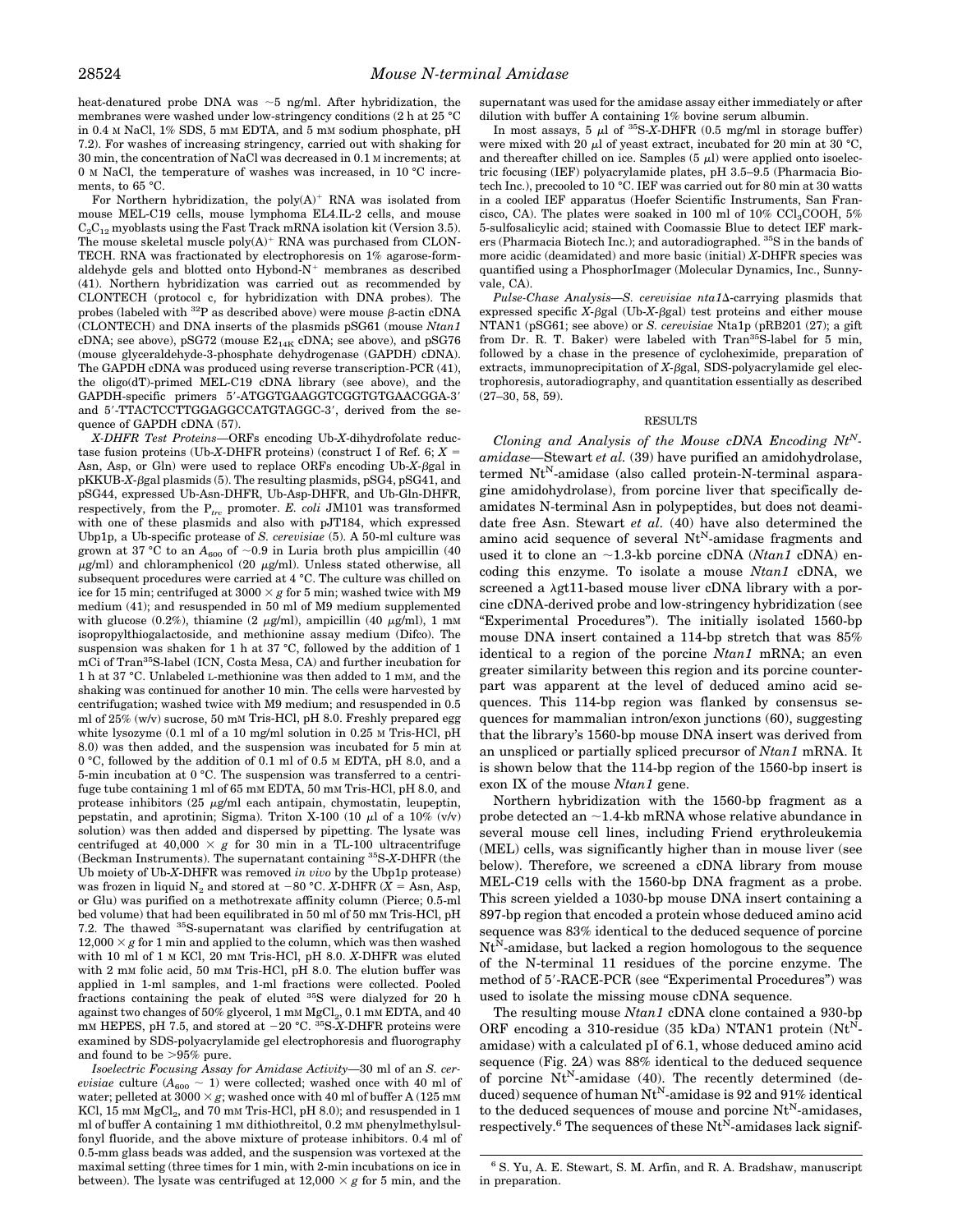heat-denatured probe DNA was  $\sim$ 5 ng/ml. After hybridization, the membranes were washed under low-stringency conditions (2 h at 25 °C in 0.4 M NaCl, 1% SDS, 5 mM EDTA, and 5 mM sodium phosphate, pH 7.2). For washes of increasing stringency, carried out with shaking for 30 min, the concentration of NaCl was decreased in 0.1 M increments; at 0 M NaCl, the temperature of washes was increased, in 10 °C increments, to 65 °C.

For Northern hybridization, the poly $(A)^+$  RNA was isolated from mouse MEL-C19 cells, mouse lymphoma EL4.IL-2 cells, and mouse  $C_2C_{12}$  myoblasts using the Fast Track mRNA isolation kit (Version 3.5). The mouse skeletal muscle  $poly(A)^+$  RNA was purchased from CLON-TECH. RNA was fractionated by electrophoresis on 1% agarose-formaldehyde gels and blotted onto  $Hybond-N^+$  membranes as described (41). Northern hybridization was carried out as recommended by CLONTECH (protocol c, for hybridization with DNA probes). The probes (labeled with  ${}^{32}P$  as described above) were mouse  $\beta$ -actin cDNA (CLONTECH) and DNA inserts of the plasmids pSG61 (mouse *Ntan1* cDNA; see above), pSG72 (mouse  $E2_{14K}$  cDNA; see above), and pSG76 (mouse glyceraldehyde-3-phosphate dehydrogenase (GAPDH) cDNA). The GAPDH cDNA was produced using reverse transcription-PCR (41), the oligo(dT)-primed MEL-C19 cDNA library (see above), and the GAPDH-specific primers 5'-ATGGTGAAGGTCGGTGTGAACGGA-3' and 5'-TTACTCCTTGGAGGCCATGTAGGC-3', derived from the sequence of GAPDH cDNA (57).

*X-DHFR Test Proteins*—ORFs encoding Ub-*X*-dihydrofolate reductase fusion proteins (Ub-*X*-DHFR proteins) (construct I of Ref. 6;  $X =$ Asn, Asp, or Gln) were used to replace ORFs encoding Ub-*X*-bgal in pKKUB-*X*- $\beta$ gal plasmids (5). The resulting plasmids, pSG4, pSG41, and pSG44, expressed Ub-Asn-DHFR, Ub-Asp-DHFR, and Ub-Gln-DHFR, respectively, from the P*trc* promoter. *E. coli* JM101 was transformed with one of these plasmids and also with pJT184, which expressed Ubp1p, a Ub-specific protease of *S. cerevisiae* (5). A 50-ml culture was grown at 37 °C to an  $A_{600}$  of  $\sim$ 0.9 in Luria broth plus ampicillin (40)  $\mu$ g/ml) and chloramphenicol (20  $\mu$ g/ml). Unless stated otherwise, all subsequent procedures were carried at 4 °C. The culture was chilled on ice for 15 min; centrifuged at  $3000 \times g$  for 5 min; washed twice with M9 medium (41); and resuspended in 50 ml of M9 medium supplemented with glucose (0.2%), thiamine (2  $\mu$ g/ml), ampicillin (40  $\mu$ g/ml), 1 mM isopropylthiogalactoside, and methionine assay medium (Difco). The suspension was shaken for 1 h at 37 °C, followed by the addition of 1 mCi of Tran35S-label (ICN, Costa Mesa, CA) and further incubation for 1 h at 37 °C. Unlabeled L-methionine was then added to 1 mM, and the shaking was continued for another 10 min. The cells were harvested by centrifugation; washed twice with M9 medium; and resuspended in 0.5 ml of 25% (w/v) sucrose, 50 mM Tris-HCl, pH 8.0. Freshly prepared egg white lysozyme (0.1 ml of a 10 mg/ml solution in 0.25 M Tris-HCl, pH 8.0) was then added, and the suspension was incubated for 5 min at 0 °C, followed by the addition of 0.1 ml of 0.5 M EDTA, pH 8.0, and a 5-min incubation at 0 °C. The suspension was transferred to a centrifuge tube containing 1 ml of 65 mM EDTA, 50 mM Tris-HCl, pH 8.0, and protease inhibitors  $(25 \text{ }\mu\text{g/ml}$  each antipain, chymostatin, leupeptin, pepstatin, and aprotinin; Sigma). Triton X-100 (10  $\mu$ l of a 10% (v/v) solution) was then added and dispersed by pipetting. The lysate was centrifuged at  $40,000 \times g$  for 30 min in a TL-100 ultracentrifuge (Beckman Instruments). The supernatant containing 35S-*X*-DHFR (the Ub moiety of Ub-*X*-DHFR was removed *in vivo* by the Ubp1p protease) was frozen in liquid  $N_2$  and stored at -80 °C. *X*-DHFR (*X* = Asn, Asp, or Glu) was purified on a methotrexate affinity column (Pierce; 0.5-ml bed volume) that had been equilibrated in 50 ml of 50 mM Tris-HCl, pH 7.2. The thawed 35S-supernatant was clarified by centrifugation at  $12,000 \times g$  for 1 min and applied to the column, which was then washed with 10 ml of 1 M KCl, 20 mM Tris-HCl, pH 8.0. *X*-DHFR was eluted with 2 mM folic acid, 50 mM Tris-HCl, pH 8.0. The elution buffer was applied in 1-ml samples, and 1-ml fractions were collected. Pooled fractions containing the peak of eluted 35S were dialyzed for 20 h against two changes of 50% glycerol, 1 mm  $MgCl<sub>2</sub>$ , 0.1 mm EDTA, and 40 mM HEPES, pH 7.5, and stored at  $-20$  °C. <sup>35</sup>S-*X*-DHFR proteins were examined by SDS-polyacrylamide gel electrophoresis and fluorography and found to be  $>95\%$  pure.

*Isoelectric Focusing Assay for Amidase Activity—*30 ml of an *S. cerevisiae* culture ( $A_{600} \sim 1$ ) were collected; washed once with 40 ml of water; pelleted at  $3000 \times g$ ; washed once with 40 ml of buffer A (125 mM KCl, 15 mM  $MgCl<sub>2</sub>$ , and 70 mM Tris-HCl, pH 8.0); and resuspended in 1 ml of buffer A containing 1 mm dithiothreitol, 0.2 mm phenylmethylsulfonyl fluoride, and the above mixture of protease inhibitors. 0.4 ml of 0.5-mm glass beads was added, and the suspension was vortexed at the maximal setting (three times for 1 min, with 2-min incubations on ice in between). The lysate was centrifuged at  $12,000 \times g$  for 5 min, and the

supernatant was used for the amidase assay either immediately or after dilution with buffer A containing 1% bovine serum albumin.

In most assays, 5  $\mu$ l of <sup>35</sup>S-X-DHFR (0.5 mg/ml in storage buffer) were mixed with 20  $\mu$ l of yeast extract, incubated for 20 min at 30 °C, and thereafter chilled on ice. Samples  $(5 \mu l)$  were applied onto isoelectric focusing (IEF) polyacrylamide plates, pH 3.5–9.5 (Pharmacia Biotech Inc.), precooled to 10 °C. IEF was carried out for 80 min at 30 watts in a cooled IEF apparatus (Hoefer Scientific Instruments, San Francisco, CA). The plates were soaked in 100 ml of  $10\%$  CCl<sub>3</sub>COOH, 5% 5-sulfosalicylic acid; stained with Coomassie Blue to detect IEF markers (Pharmacia Biotech Inc.); and autoradiographed. 35S in the bands of more acidic (deamidated) and more basic (initial) *X*-DHFR species was quantified using a PhosphorImager (Molecular Dynamics, Inc., Sunnyvale, CA).

Pulse-Chase Analysis-S. cerevisiae nta1 $\Delta$ -carrying plasmids that expressed specific  $X$ - $\beta$ gal (Ub- $X$ - $\beta$ gal) test proteins and either mouse NTAN1 (pSG61; see above) or *S. cerevisiae* Nta1p (pRB201 (27); a gift from Dr. R. T. Baker) were labeled with Tran<sup>35</sup>S-label for 5 min, followed by a chase in the presence of cycloheximide, preparation of extracts, immunoprecipitation of  $X$ - $\beta$ gal, SDS-polyacrylamide gel electrophoresis, autoradiography, and quantitation essentially as described (27–30, 58, 59).

### RESULTS

*Cloning and Analysis of the Mouse cDNA Encoding NtNamidase—*Stewart *et al.* (39) have purified an amidohydrolase, termed Nt<sup>N</sup>-amidase (also called protein-N-terminal asparagine amidohydrolase), from porcine liver that specifically deamidates N-terminal Asn in polypeptides, but does not deamidate free Asn. Stewart *et al.* (40) have also determined the amino acid sequence of several  $Nt^N$ -amidase fragments and used it to clone an  $\sim$ 1.3-kb porcine cDNA (*Ntan1* cDNA) encoding this enzyme. To isolate a mouse *Ntan1* cDNA, we screened a  $\lambda$ gt11-based mouse liver cDNA library with a porcine cDNA-derived probe and low-stringency hybridization (see "Experimental Procedures"). The initially isolated 1560-bp mouse DNA insert contained a 114-bp stretch that was 85% identical to a region of the porcine *Ntan1* mRNA; an even greater similarity between this region and its porcine counterpart was apparent at the level of deduced amino acid sequences. This 114-bp region was flanked by consensus sequences for mammalian intron/exon junctions (60), suggesting that the library's 1560-bp mouse DNA insert was derived from an unspliced or partially spliced precursor of *Ntan1* mRNA. It is shown below that the 114-bp region of the 1560-bp insert is exon IX of the mouse *Ntan1* gene.

Northern hybridization with the 1560-bp fragment as a probe detected an  $\sim$ 1.4-kb mRNA whose relative abundance in several mouse cell lines, including Friend erythroleukemia (MEL) cells, was significantly higher than in mouse liver (see below). Therefore, we screened a cDNA library from mouse MEL-C19 cells with the 1560-bp DNA fragment as a probe. This screen yielded a 1030-bp mouse DNA insert containing a 897-bp region that encoded a protein whose deduced amino acid sequence was 83% identical to the deduced sequence of porcine  $Nt<sup>N</sup>$ -amidase, but lacked a region homologous to the sequence of the N-terminal 11 residues of the porcine enzyme. The method of 5'-RACE-PCR (see "Experimental Procedures") was used to isolate the missing mouse cDNA sequence.

The resulting mouse *Ntan1* cDNA clone contained a 930-bp ORF encoding a 310-residue (35 kDa) NTAN1 protein  $(Nt^N$ amidase) with a calculated pI of 6.1, whose deduced amino acid sequence (Fig. 2*A*) was 88% identical to the deduced sequence of porcine  $Nt^N$ -amidase (40). The recently determined (deduced) sequence of human  $Nt^N$ -amidase is 92 and 91% identical to the deduced sequences of mouse and porcine  $\mathrm{Nt}^\mathrm{N}\text{-amidases},$ respectively.<sup>6</sup> The sequences of these  $Nt<sup>N</sup>$ -amidases lack signif-

<sup>6</sup> S. Yu, A. E. Stewart, S. M. Arfin, and R. A. Bradshaw, manuscript in preparation.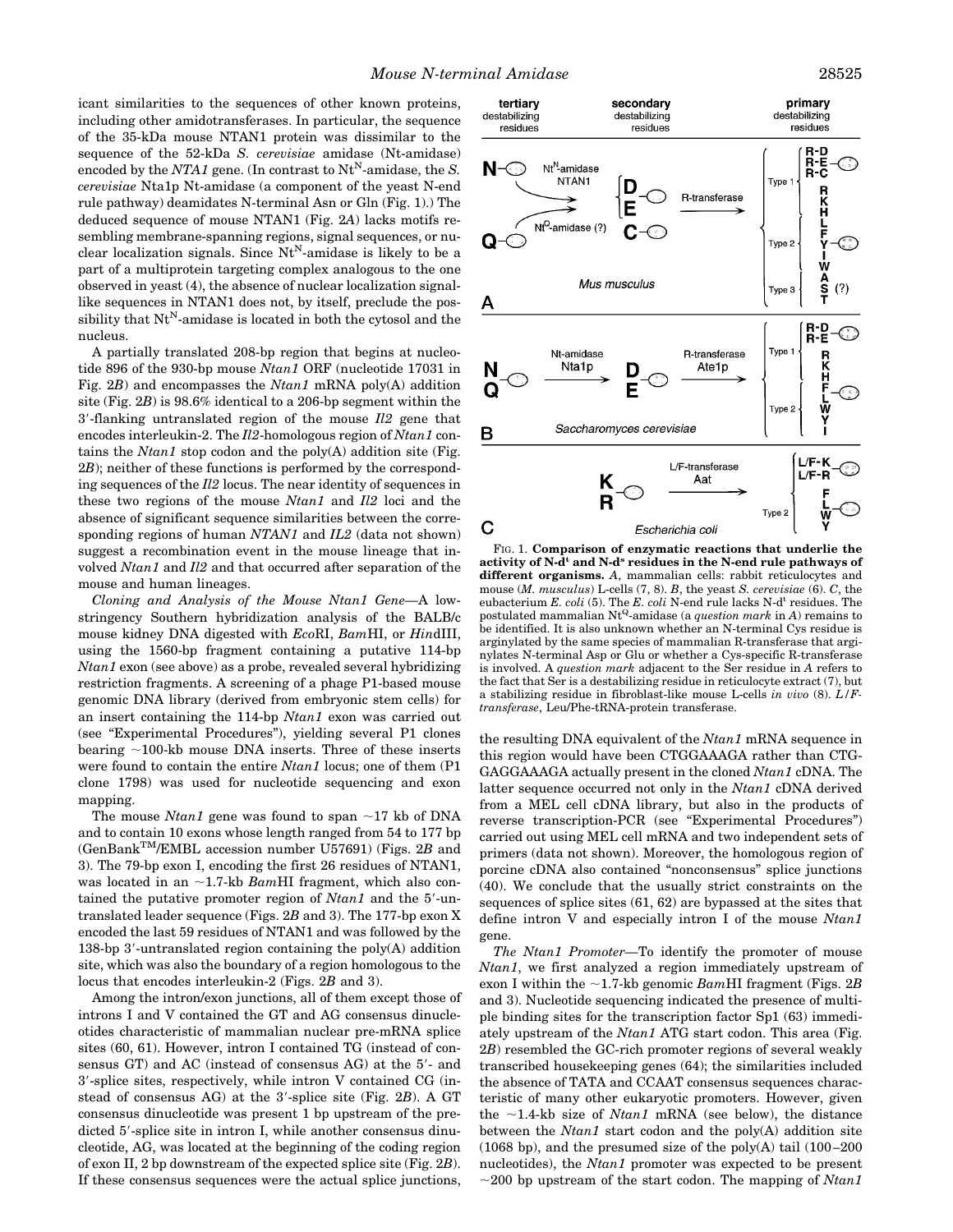icant similarities to the sequences of other known proteins, including other amidotransferases. In particular, the sequence of the 35-kDa mouse NTAN1 protein was dissimilar to the sequence of the 52-kDa *S. cerevisiae* amidase (Nt-amidase) encoded by the *NTA1* gene. (In contrast to  $Nt^N$ -amidase, the *S*. *cerevisiae* Nta1p Nt-amidase (a component of the yeast N-end rule pathway) deamidates N-terminal Asn or Gln (Fig. 1).) The deduced sequence of mouse NTAN1 (Fig. 2*A*) lacks motifs resembling membrane-spanning regions, signal sequences, or nuclear localization signals. Since  $Nt^N$ -amidase is likely to be a part of a multiprotein targeting complex analogous to the one observed in yeast (4), the absence of nuclear localization signallike sequences in NTAN1 does not, by itself, preclude the possibility that  $Nt^N$ -amidase is located in both the cytosol and the nucleus.

A partially translated 208-bp region that begins at nucleotide 896 of the 930-bp mouse *Ntan1* ORF (nucleotide 17031 in Fig. 2*B*) and encompasses the *Ntan1* mRNA poly(A) addition site (Fig. 2*B*) is 98.6% identical to a 206-bp segment within the 3'-flanking untranslated region of the mouse *Il2* gene that encodes interleukin-2. The *Il2*-homologous region of *Ntan1* contains the *Ntan1* stop codon and the poly(A) addition site (Fig. 2*B*); neither of these functions is performed by the corresponding sequences of the *Il2* locus. The near identity of sequences in these two regions of the mouse *Ntan1* and *Il2* loci and the absence of significant sequence similarities between the corresponding regions of human *NTAN1* and *IL2* (data not shown) suggest a recombination event in the mouse lineage that involved *Ntan1* and *Il2* and that occurred after separation of the mouse and human lineages.

*Cloning and Analysis of the Mouse Ntan1 Gene—*A lowstringency Southern hybridization analysis of the BALB/c mouse kidney DNA digested with *Eco*RI, *Bam*HI, or *Hin*dIII, using the 1560-bp fragment containing a putative 114-bp *Ntan1* exon (see above) as a probe, revealed several hybridizing restriction fragments. A screening of a phage P1-based mouse genomic DNA library (derived from embryonic stem cells) for an insert containing the 114-bp *Ntan1* exon was carried out (see "Experimental Procedures"), yielding several P1 clones bearing  $\sim$ 100-kb mouse DNA inserts. Three of these inserts were found to contain the entire *Ntan1* locus; one of them (P1 clone 1798) was used for nucleotide sequencing and exon mapping.

The mouse *Ntan1* gene was found to span  $\sim$ 17 kb of DNA and to contain 10 exons whose length ranged from 54 to 177 bp (GenBankTM/EMBL accession number U57691) (Figs. 2*B* and 3). The 79-bp exon I, encoding the first 26 residues of NTAN1, was located in an  $\sim$ 1.7-kb *Bam*HI fragment, which also contained the putative promoter region of *Ntan1* and the 5'-untranslated leader sequence (Figs. 2*B* and 3). The 177-bp exon X encoded the last 59 residues of NTAN1 and was followed by the 138-bp 3'-untranslated region containing the poly $(A)$  addition site, which was also the boundary of a region homologous to the locus that encodes interleukin-2 (Figs. 2*B* and 3).

Among the intron/exon junctions, all of them except those of introns I and V contained the GT and AG consensus dinucleotides characteristic of mammalian nuclear pre-mRNA splice sites (60, 61). However, intron I contained TG (instead of consensus  $GT$ ) and  $AC$  (instead of consensus  $AG$ ) at the  $5'$ - and 3'-splice sites, respectively, while intron V contained CG (instead of consensus AG) at the 3'-splice site (Fig. 2*B*). A GT consensus dinucleotide was present 1 bp upstream of the predicted 5'-splice site in intron I, while another consensus dinucleotide, AG, was located at the beginning of the coding region of exon II, 2 bp downstream of the expected splice site (Fig. 2*B*). If these consensus sequences were the actual splice junctions,



FIG. 1. **Comparison of enzymatic reactions that underlie the activity of N-dt and N-ds residues in the N-end rule pathways of different organisms.** *A*, mammalian cells: rabbit reticulocytes and mouse (*M. musculus*) L-cells (7, 8). *B*, the yeast *S. cerevisiae* (6). *C*, the eubacterium *E. coli* (5). The *E. coli* N-end rule lacks N-d<sup>t</sup> residues. The postulated mammalian NtQ-amidase (a *question mark* in *A*) remains to be identified. It is also unknown whether an N-terminal Cys residue is arginylated by the same species of mammalian R-transferase that arginylates N-terminal Asp or Glu or whether a Cys-specific R-transferase is involved. A *question mark* adjacent to the Ser residue in *A* refers to the fact that Ser is a destabilizing residue in reticulocyte extract (7), but a stabilizing residue in fibroblast-like mouse L-cells *in vivo* (8). *L/Ftransferase*, Leu/Phe-tRNA-protein transferase.

the resulting DNA equivalent of the *Ntan1* mRNA sequence in this region would have been CTGGAAAGA rather than CTG-GAGGAAAGA actually present in the cloned *Ntan1* cDNA. The latter sequence occurred not only in the *Ntan1* cDNA derived from a MEL cell cDNA library, but also in the products of reverse transcription-PCR (see "Experimental Procedures") carried out using MEL cell mRNA and two independent sets of primers (data not shown). Moreover, the homologous region of porcine cDNA also contained "nonconsensus" splice junctions (40). We conclude that the usually strict constraints on the sequences of splice sites (61, 62) are bypassed at the sites that define intron V and especially intron I of the mouse *Ntan1* gene.

*The Ntan1 Promoter—*To identify the promoter of mouse *Ntan1*, we first analyzed a region immediately upstream of exon I within the  $\sim$ 1.7-kb genomic *Bam*HI fragment (Figs. 2*B* and 3). Nucleotide sequencing indicated the presence of multiple binding sites for the transcription factor Sp1 (63) immediately upstream of the *Ntan1* ATG start codon. This area (Fig. 2*B*) resembled the GC-rich promoter regions of several weakly transcribed housekeeping genes (64); the similarities included the absence of TATA and CCAAT consensus sequences characteristic of many other eukaryotic promoters. However, given the  $\sim$ 1.4-kb size of *Ntan1* mRNA (see below), the distance between the *Ntan1* start codon and the poly(A) addition site (1068 bp), and the presumed size of the poly(A) tail  $(100-200)$ nucleotides), the *Ntan1* promoter was expected to be present  $\sim$ 200 bp upstream of the start codon. The mapping of *Ntan1*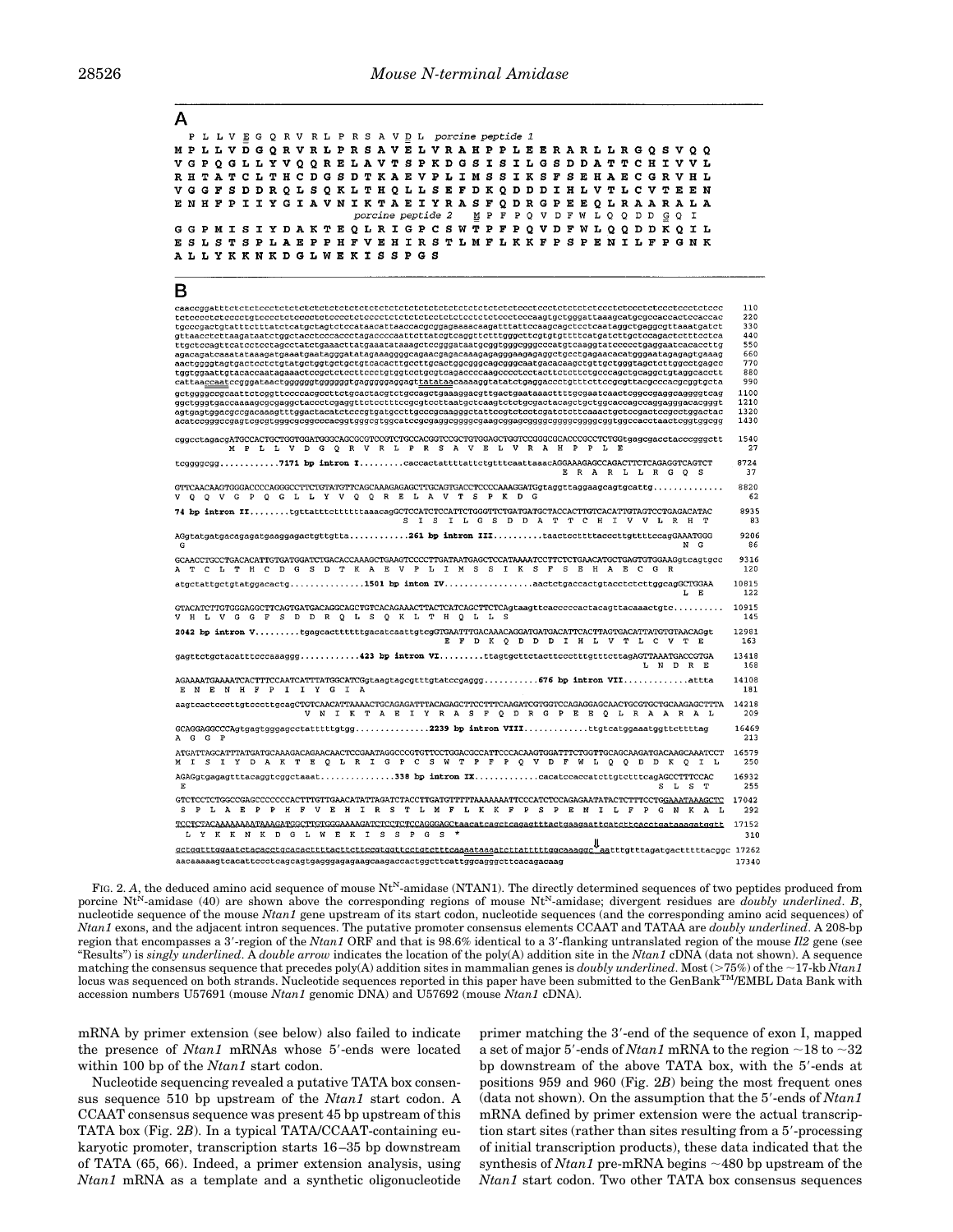| А                                                                                                                                                                                                                                |              |
|----------------------------------------------------------------------------------------------------------------------------------------------------------------------------------------------------------------------------------|--------------|
| PLLVEGQRVRLPRSAVDL porcine peptide 1                                                                                                                                                                                             |              |
| M P L L V D G Q R V R L P R S A V E L V R A H P P L E E R A R L L R G Q S V Q Q                                                                                                                                                  |              |
| V G P Q G L L Y V Q Q R E L A V T S P K D G S I S I L G S D D A T T C H I V V L                                                                                                                                                  |              |
| R H T A T C L T H C D G S D T K A E V P L I M S S I K S F S E H A E C G R V H L                                                                                                                                                  |              |
| V G G F S D D R Q L S Q K L T H Q L L S E F D K Q D D D I H L V T L C V T E E N<br>E N H F P I I Y G I A V N I K T A E I Y R A S F O D R G P E E O L R A A R A L A                                                               |              |
| MP F P Q V D F W L Q Q D D<br><i>porcine peptide 2</i><br>G Q I                                                                                                                                                                  |              |
| G G P M I S I Y D A K T E Q L R I G P C S W T P F P Q V D F W L Q Q D D K Q I L                                                                                                                                                  |              |
| E S L S T S P L A E P P H F V E H I R S T L M F L K K F P S P E N I L F P G N K                                                                                                                                                  |              |
| A L L Y K K N K D G L W E K I S S P G S                                                                                                                                                                                          |              |
| В                                                                                                                                                                                                                                |              |
|                                                                                                                                                                                                                                  | 110          |
| tgcccgactgtatttctttatctcatgctagtctccataacattaaccacgcggagaaaacaagatttattccaagcagctcctcaataggctgaggcgttaaatgatct                                                                                                                   | 220<br>330   |
| gttaacctcttaagataatctggctacctcccaccctagaccccaattcttatcgtcaggttctttgggcttcgtgtgttttcatgatcttgctccagactctttcctca                                                                                                                   | 440          |
| agacagatcaaatataaagatgaaatgaatagggatatagaaaggggcagaacgagacaaagagaggggaagagggctgcctgagaacacatgggaatagagagtgaaag                                                                                                                   | 550<br>660   |
| aactggggtagtgactcctctgtatgctggtgctgctgtcacacttgccttgcactggcgggcagcgggcaatgacacaagctgttgctgggtagctcttggcctgagcc<br>tggtggaattgtacaccaatagaaactccgctctccttccctgtggtcctgcgtcagaccccaagcccctcctacttctcttctgcccagctgcaggctgtaggcacctt | 770<br>880   |
| cattaa <u>ccaat</u> ccgggataactggggggtgggggtgagggggaggagt <u>tatataa</u> caaaaggtatatctgaggaccctgtttcttccgcgttacgcccacgcggtgcta                                                                                                  | 990          |
| gctggggccgcaattctcggttccccacgccttctgcactacgtctgccagctgaaaggacgttgactgaataaacttttgcgaatcaactcggccgaggcaggggtcag                                                                                                                   | 1100<br>1210 |
| agtgagtggacgccgacaaagtttggactacatctcccgtgatgccttgcccgcaagggctattccgtctcctcgatctcttcaaactgctccgactccgcctggactac                                                                                                                   | 1320         |
| acatccgggccgagtcgcgtgggcgcggcccacggtgggcgtggcatccgcgaggcggggcgaagcggagcggggcggggcggggcggtggccacctaactcggtggcgg                                                                                                                   | 1430         |
| cggcctagacgATGCCACTGCTGGTGGATGGGCAGCGCGTCCGTCTGCCACGGTCCGCTGTGGAGCTGGTCCGGGCGCACCCGCCTCTGGtgagcgacctacccgggctt<br>M P L L V D G Q R V R L P R S A V E L V R A H P P L E                                                          | 1540<br>27   |
| tcggggcgg7171 bp intron IcaccactattttattctgtttcaattaaacAGGAAAGAGCCAGACTTCTCAGAGGTCAGTCT<br>ERARLLRGQS                                                                                                                            | 8724<br>37   |
| GTTCAACAAGTGGGACCCCAGGGCCTTCTGTATGTTCAGCAAAGAGAGCTTGCAGTGACCTCCCCAAAGGATGgtaggttaggaagcagtgcattg<br>V Q Q V G P Q G L L Y V Q Q R E L A V T S P K D G                                                                            | 8820<br>62   |
| 74 bp intron IItgttatttetttttaaacagGCTCCATCTCCATTCTGGGTTCTGATGATGCTACCACTTGTCACATTGTAGTCCTGAGACATAC<br>S I S I L G S D D A T T C H I V V L R H T                                                                                 | 8935<br>83   |
| G<br>NG.                                                                                                                                                                                                                         | 9206<br>86   |
| GCAACCTGCCTGACACATTGTGATGGATCTGACACCAAAGCTGAAGTCCCCTTGATAATGAGCTCCATAAAATCCTTCTCTGAACATGCTGAGTGTGGAAGqtcaqtqcc<br>A T C L T H C D G S D T K A E V P L I M S S I K S F S E H A E C G R                                            | 9316<br>120  |
| atgctattgctgtatggacactg1501 bp inton IVaactctgaccactgtacctctcttggcagGCTGGAA<br>L E                                                                                                                                               | 10815<br>122 |
| V H L V G G F S D D R Q L S Q K L T H Q L L S                                                                                                                                                                                    | 10915<br>145 |
| 2042 bp intron VtgagcacttttttgacatcaattgtcgGTGAATTTGACAAACAGGATGATGACATTCACTTAGTGACATTATGTGTAACAGgt<br>E F D K Q D D D I H L V T L C V T E                                                                                       | 12981<br>163 |
| gagttctgctacatttcccaaaggg423 bp intron VIttagtgcttctacttccctttgtttcttagAGTTAAATGACCGTGA<br>L N D R E                                                                                                                             | 13418<br>168 |
| AGAAAATGAAAATCACTTTCCAATCATTTATGGCATCGgtaagtagcgtttgtatccgaggg676 bp intron VIIattta<br>E N E N H F P I I Y G I A                                                                                                                | 14108<br>181 |
| aagtcactcccttgtcccttgcagCTGTCAACATTAAAACTGCAGAGATTTACAGAGCTTCCTTTCAAGATCGTGGTCCAGAGGAGCAACTGCGTGCTGCAAGAGCTTTA<br>V N I K T A E I Y R A S F Q D R G P E E Q L R A A R A L                                                        | 14218<br>209 |
| GCAGGAGGCCCAgtgagtgggagcctatttttgtgg2239 bp intron VIIIttgtcatggaaatggttcttttag<br>AGG P                                                                                                                                         | 16469<br>213 |
| ATGATTAGCATTTATGATGCAAAGACAGAACAACTCCGAATAGGCCCGTGTTCCTGGACGCCATTCCCACAAGTGGATTTCTGGTTGCAGCAAGATGACAAGCAAATCCT<br>M I S I Y D A K T E Q L R I G P C S W T P F P Q V D F W L Q Q D D K Q I L                                      | 16579<br>250 |
| E<br>SL ST                                                                                                                                                                                                                       | 16932<br>255 |
| GTCTCCTCTGGCCGAGCCCCCCCACTTTGTTGAACATATTAGATCTACCTTGATGTTTTTAAAAAAATTCCCATCTCCAGAGAATATACTCTTTCCTGGAAATAAAGCTC<br>S P L A E P P H F V E H I R S T L M F L K K F P S P E N I L F P G N K A<br>L                                   | 17042<br>292 |
| TCCTCTACAAAAAAAAAAAGATGGCTTGTGGGAAAAGATCTCCTCCAGGGAGCtaacatcagctcagagtttactgaagaattcatcttcacctgataaagatggtt<br>L Y K K N K D G L W E K I S S P G S *                                                                             | 17152<br>310 |
| aacaaaaagtcacattccctcagcagtgagggagagaagcaagaccactggcttcattggcagggcttcacagacaag                                                                                                                                                   | 17340        |
|                                                                                                                                                                                                                                  |              |

FIG. 2. A, the deduced amino acid sequence of mouse Nt<sup>N</sup>-amidase (NTAN1). The directly determined sequences of two peptides produced from porcine Nt<sup>N</sup>-amidase (40) are shown above the corresponding regions of mouse Nt<sup>N</sup>-amidase; divergent residues are *doubly underlined*. *B*, nucleotide sequence of the mouse *Ntan1* gene upstream of its start codon, nucleotide sequences (and the corresponding amino acid sequences) of *Ntan1* exons, and the adjacent intron sequences. The putative promoter consensus elements CCAAT and TATAA are *doubly underlined*. A 208-bp region that encompasses a 39-region of the *Ntan1* ORF and that is 98.6% identical to a 39-flanking untranslated region of the mouse *Il2* gene (see "Results") is *singly underlined*. A *double arrow* indicates the location of the poly(A) addition site in the *Ntan1* cDNA (data not shown). A sequence matching the consensus sequence that precedes poly(A) addition sites in mammalian genes is doubly underlined. Most (>75%) of the ~17-kb Ntan1<br>locus was sequenced on both strands. Nucleotide sequences reported in this paper accession numbers U57691 (mouse *Ntan1* genomic DNA) and U57692 (mouse *Ntan1* cDNA).

mRNA by primer extension (see below) also failed to indicate the presence of *Ntan1* mRNAs whose 5'-ends were located within 100 bp of the *Ntan1* start codon.

Nucleotide sequencing revealed a putative TATA box consensus sequence 510 bp upstream of the *Ntan1* start codon. A CCAAT consensus sequence was present 45 bp upstream of this TATA box (Fig. 2*B*). In a typical TATA/CCAAT-containing eukaryotic promoter, transcription starts 16 –35 bp downstream of TATA (65, 66). Indeed, a primer extension analysis, using *Ntan1* mRNA as a template and a synthetic oligonucleotide

primer matching the 3'-end of the sequence of exon I, mapped a set of major 5'-ends of *Ntan1* mRNA to the region  $\sim$ 18 to  $\sim$ 32 bp downstream of the above TATA box, with the 5'-ends at positions 959 and 960 (Fig. 2*B*) being the most frequent ones  $(data not shown)$ . On the assumption that the  $5'$ -ends of  $Ntan 1$ mRNA defined by primer extension were the actual transcription start sites (rather than sites resulting from a  $5'$ -processing of initial transcription products), these data indicated that the synthesis of *Ntan1* pre-mRNA begins  $\sim$ 480 bp upstream of the *Ntan1* start codon. Two other TATA box consensus sequences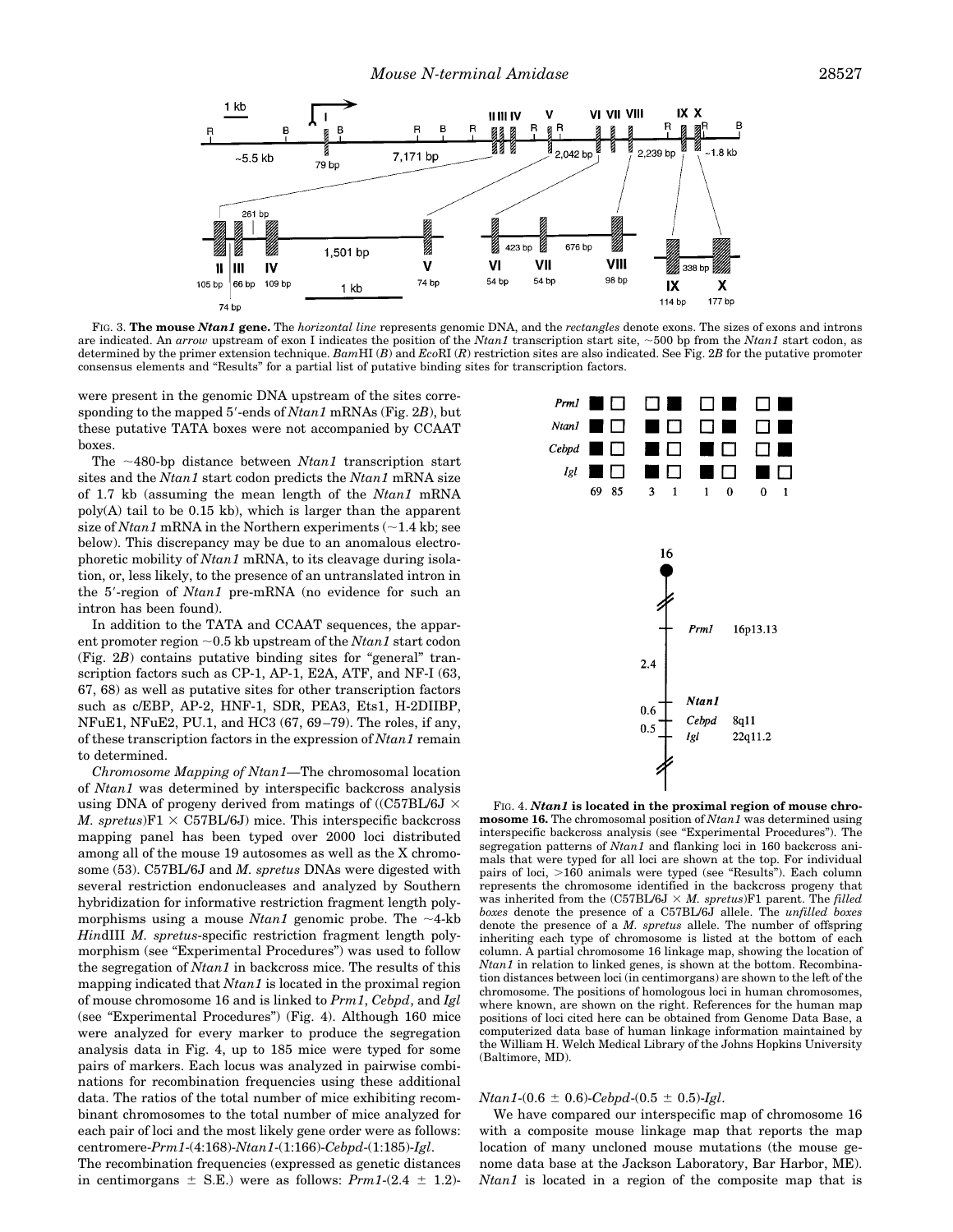

FIG. 3. **The mouse** *Ntan1* **gene.** The *horizontal line* represents genomic DNA, and the *rectangles* denote exons. The sizes of exons and introns are indicated. An *arrow* upstream of exon I indicates the position of the *Ntan1* transcription start site, ~500 bp from the *Ntan1* start codon, as determined by the primer extension technique. *Bam*HI (*B*) and *Eco*RI (*R*) restriction sites are also indicated. See Fig. 2*B* for the putative promoter consensus elements and "Results" for a partial list of putative binding sites for transcription factors.

were present in the genomic DNA upstream of the sites corresponding to the mapped 5'-ends of *Ntan1* mRNAs (Fig. 2*B*), but these putative TATA boxes were not accompanied by CCAAT boxes.

The  $~180$ -bp distance between *Ntan1* transcription start sites and the *Ntan1* start codon predicts the *Ntan1* mRNA size of 1.7 kb (assuming the mean length of the *Ntan1* mRNA poly(A) tail to be 0.15 kb), which is larger than the apparent size of *Ntan1* mRNA in the Northern experiments  $(\sim 1.4 \text{ kb})$ ; see below). This discrepancy may be due to an anomalous electrophoretic mobility of *Ntan1* mRNA, to its cleavage during isolation, or, less likely, to the presence of an untranslated intron in the 5'-region of *Ntan1* pre-mRNA (no evidence for such an intron has been found).

In addition to the TATA and CCAAT sequences, the apparent promoter region  $\sim$  0.5 kb upstream of the *Ntan1* start codon (Fig. 2*B*) contains putative binding sites for "general" transcription factors such as CP-1, AP-1, E2A, ATF, and NF-I (63, 67, 68) as well as putative sites for other transcription factors such as c/EBP, AP-2, HNF-1, SDR, PEA3, Ets1, H-2DIIBP, NFuE1, NFuE2, PU.1, and HC3 (67, 69 –79). The roles, if any, of these transcription factors in the expression of *Ntan1* remain to determined.

*Chromosome Mapping of Ntan1—*The chromosomal location of *Ntan1* was determined by interspecific backcross analysis using DNA of progeny derived from matings of ((C57BL/6J  $\times$ *M. spretus*) $F1 \times C57BL/6J$  mice. This interspecific backcross mapping panel has been typed over 2000 loci distributed among all of the mouse 19 autosomes as well as the X chromosome (53). C57BL/6J and *M. spretus* DNAs were digested with several restriction endonucleases and analyzed by Southern hybridization for informative restriction fragment length polymorphisms using a mouse *Ntan1* genomic probe. The  $\sim$ 4-kb *Hin*dIII *M. spretus*-specific restriction fragment length polymorphism (see "Experimental Procedures") was used to follow the segregation of *Ntan1* in backcross mice. The results of this mapping indicated that *Ntan1* is located in the proximal region of mouse chromosome 16 and is linked to *Prm1*, *Cebpd*, and *Igl* (see "Experimental Procedures") (Fig. 4). Although 160 mice were analyzed for every marker to produce the segregation analysis data in Fig. 4, up to 185 mice were typed for some pairs of markers. Each locus was analyzed in pairwise combinations for recombination frequencies using these additional data. The ratios of the total number of mice exhibiting recombinant chromosomes to the total number of mice analyzed for each pair of loci and the most likely gene order were as follows: centromere-*Prm1*-(4:168)-*Ntan1*-(1:166)-*Cebpd*-(1:185)-*Igl*.

The recombination frequencies (expressed as genetic distances in centimorgans  $\pm$  S.E.) were as follows: *Prm1*-(2.4  $\pm$  1.2)-



FIG. 4. *Ntan1* **is located in the proximal region of mouse chromosome 16.** The chromosomal position of *Ntan1* was determined using interspecific backcross analysis (see "Experimental Procedures"). The segregation patterns of *Ntan1* and flanking loci in 160 backcross animals that were typed for all loci are shown at the top. For individual pairs of loci, >160 animals were typed (see "Results"). Each column represents the chromosome identified in the backcross progeny that was inherited from the  $(C57BL/6J \times M.$  spretus)F1 parent. The *filled boxes* denote the presence of a C57BL/6J allele. The *unfilled boxes* denote the presence of a *M. spretus* allele. The number of offspring inheriting each type of chromosome is listed at the bottom of each column. A partial chromosome 16 linkage map, showing the location of *Ntan1* in relation to linked genes, is shown at the bottom. Recombination distances between loci (in centimorgans) are shown to the left of the chromosome. The positions of homologous loci in human chromosomes, where known, are shown on the right. References for the human map positions of loci cited here can be obtained from Genome Data Base, a computerized data base of human linkage information maintained by the William H. Welch Medical Library of the Johns Hopkins University (Baltimore, MD).

#### $Ntan1-(0.6 \pm 0.6)$ *-Cebpd*- $(0.5 \pm 0.5)$ *-Igl.*

We have compared our interspecific map of chromosome 16 with a composite mouse linkage map that reports the map location of many uncloned mouse mutations (the mouse genome data base at the Jackson Laboratory, Bar Harbor, ME). *Ntan1* is located in a region of the composite map that is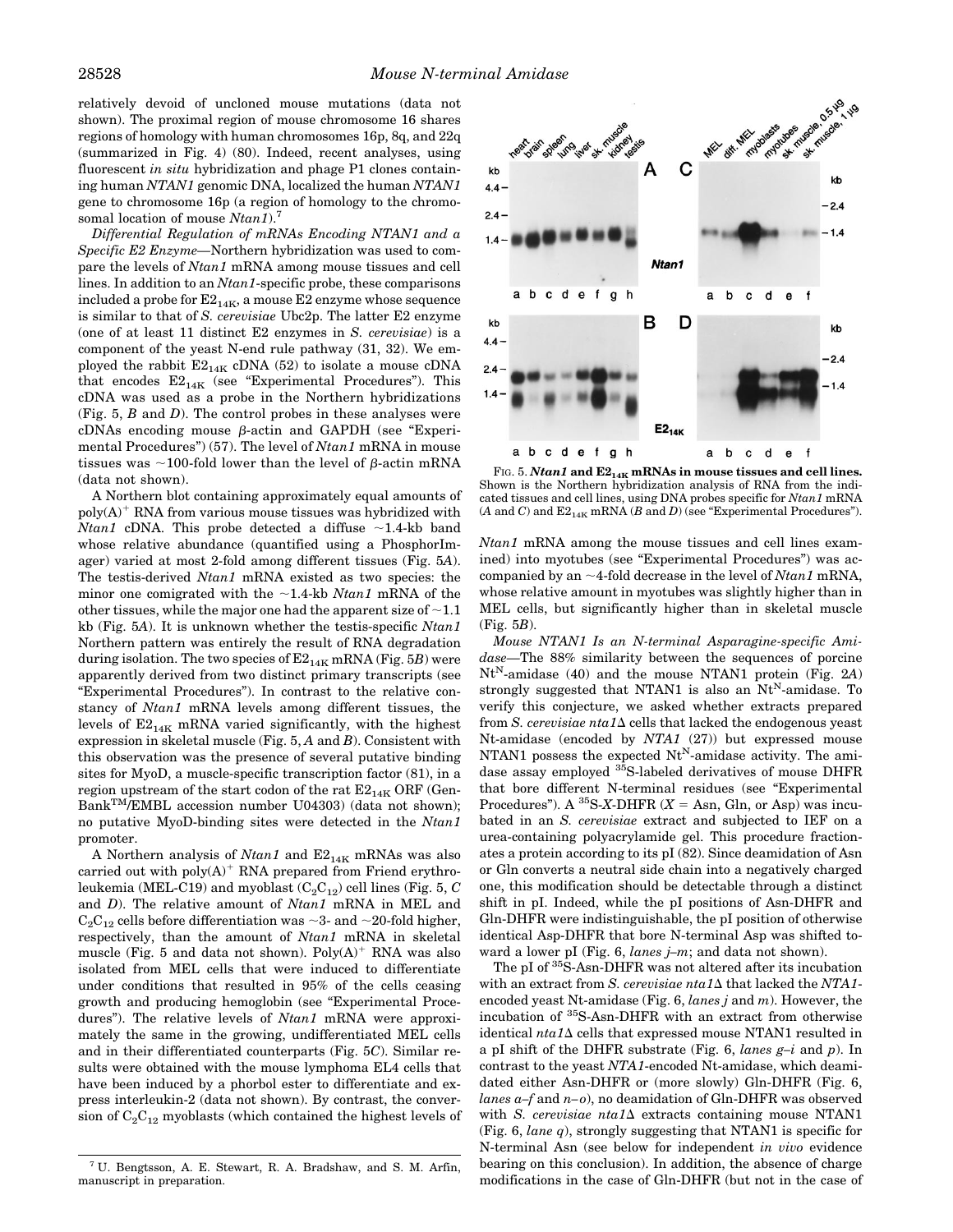relatively devoid of uncloned mouse mutations (data not shown). The proximal region of mouse chromosome 16 shares regions of homology with human chromosomes 16p, 8q, and 22q (summarized in Fig. 4) (80). Indeed, recent analyses, using fluorescent *in situ* hybridization and phage P1 clones containing human *NTAN1* genomic DNA, localized the human *NTAN1* gene to chromosome 16p (a region of homology to the chromosomal location of mouse *Ntan1*).7

*Differential Regulation of mRNAs Encoding NTAN1 and a Specific E2 Enzyme—*Northern hybridization was used to compare the levels of *Ntan1* mRNA among mouse tissues and cell lines. In addition to an *Ntan1*-specific probe, these comparisons included a probe for  $\mathrm{E2_{14K}}$ , a mouse E2 enzyme whose sequence is similar to that of *S. cerevisiae* Ubc2p. The latter E2 enzyme (one of at least 11 distinct E2 enzymes in *S. cerevisiae*) is a component of the yeast N-end rule pathway (31, 32). We employed the rabbit  $E2_{14K}$  cDNA (52) to isolate a mouse cDNA that encodes  $E2_{14K}$  (see "Experimental Procedures"). This cDNA was used as a probe in the Northern hybridizations (Fig. 5, *B* and *D*). The control probes in these analyses were  $cDNAs$  encoding mouse  $\beta$ -actin and GAPDH (see "Experimental Procedures") (57). The level of *Ntan1* mRNA in mouse tissues was  $\sim$ 100-fold lower than the level of  $\beta$ -actin mRNA (data not shown).

A Northern blot containing approximately equal amounts of  $poly(A)^+$  RNA from various mouse tissues was hybridized with *Ntan1* cDNA. This probe detected a diffuse  $\sim$ 1.4-kb band whose relative abundance (quantified using a PhosphorImager) varied at most 2-fold among different tissues (Fig. 5*A*). The testis-derived *Ntan1* mRNA existed as two species: the minor one comigrated with the  $\sim$ 1.4-kb *Ntan1* mRNA of the other tissues, while the major one had the apparent size of  $\sim$  1.1 kb (Fig. 5*A*). It is unknown whether the testis-specific *Ntan1* Northern pattern was entirely the result of RNA degradation during isolation. The two species of  $E2_{14K}$  mRNA (Fig. 5*B*) were apparently derived from two distinct primary transcripts (see "Experimental Procedures"). In contrast to the relative constancy of *Ntan1* mRNA levels among different tissues, the levels of  $E2_{14K}$  mRNA varied significantly, with the highest expression in skeletal muscle (Fig. 5, *A* and *B*). Consistent with this observation was the presence of several putative binding sites for MyoD, a muscle-specific transcription factor (81), in a region upstream of the start codon of the rat  $E2_{14K}$  ORF (Gen-BankTM/EMBL accession number U04303) (data not shown); no putative MyoD-binding sites were detected in the *Ntan1* promoter.

A Northern analysis of *Ntan1* and  $E2_{14K}$  mRNAs was also carried out with  $poly(A)^+$  RNA prepared from Friend erythroleukemia (MEL-C19) and myoblast  $(\mathrm{C}_2\mathrm{C}_{12})$  cell lines (Fig. 5,  $C$ and *D*). The relative amount of *Ntan1* mRNA in MEL and  $C_2C_{12}$  cells before differentiation was  $\sim$ 3- and  $\sim$ 20-fold higher, respectively, than the amount of *Ntan1* mRNA in skeletal muscle (Fig. 5 and data not shown).  $Poly(A)^+$  RNA was also isolated from MEL cells that were induced to differentiate under conditions that resulted in 95% of the cells ceasing growth and producing hemoglobin (see "Experimental Procedures"). The relative levels of *Ntan1* mRNA were approximately the same in the growing, undifferentiated MEL cells and in their differentiated counterparts (Fig. 5*C*). Similar results were obtained with the mouse lymphoma EL4 cells that have been induced by a phorbol ester to differentiate and express interleukin-2 (data not shown). By contrast, the conversion of  $C_2C_{12}$  myoblasts (which contained the highest levels of



FIG. 5.  $N \tan 1$  and  $E2_{14K}$  mRNAs in mouse tissues and cell lines. Shown is the Northern hybridization analysis of RNA from the indicated tissues and cell lines, using DNA probes specific for *Ntan1* mRNA  $(A \text{ and } C)$  and  $E2_{14K}$  mRNA  $(B \text{ and } D)$  (see "Experimental Procedures").

*Ntan1* mRNA among the mouse tissues and cell lines examined) into myotubes (see "Experimental Procedures") was accompanied by an  $\sim$ 4-fold decrease in the level of *Ntan1* mRNA, whose relative amount in myotubes was slightly higher than in MEL cells, but significantly higher than in skeletal muscle (Fig. 5*B*).

*Mouse NTAN1 Is an N-terminal Asparagine-specific Amidase—*The 88% similarity between the sequences of porcine  $Nt^N$ -amidase (40) and the mouse NTAN1 protein (Fig. 2A) strongly suggested that NTAN1 is also an  $Nt^N$ -amidase. To verify this conjecture, we asked whether extracts prepared from *S. cerevisiae nta1* $\Delta$  cells that lacked the endogenous yeast Nt-amidase (encoded by *NTA1* (27)) but expressed mouse NTAN1 possess the expected  $Nt^N$ -amidase activity. The amidase assay employed <sup>35</sup>S-labeled derivatives of mouse DHFR that bore different N-terminal residues (see "Experimental Procedures"). A  ${}^{35}S-X-DHFR$  ( $X = Asn$ , Gln, or Asp) was incubated in an *S. cerevisiae* extract and subjected to IEF on a urea-containing polyacrylamide gel. This procedure fractionates a protein according to its pI (82). Since deamidation of Asn or Gln converts a neutral side chain into a negatively charged one, this modification should be detectable through a distinct shift in pI. Indeed, while the pI positions of Asn-DHFR and Gln-DHFR were indistinguishable, the pI position of otherwise identical Asp-DHFR that bore N-terminal Asp was shifted toward a lower pI (Fig. 6, *lanes j–m*; and data not shown).

The pI of  $\mathrm{^{35}\bar{S}\text{-}Asn\text{-}DHFR}$  was not altered after its incubation with an extract from *S. cerevisiae nta1*  $\Delta$  that lacked the *NTA1*encoded yeast Nt-amidase (Fig. 6, *lanes j* and *m*). However, the incubation of 35S-Asn-DHFR with an extract from otherwise identical *nta1*D cells that expressed mouse NTAN1 resulted in a pI shift of the DHFR substrate (Fig. 6, *lanes g–i* and *p*). In contrast to the yeast *NTA1*-encoded Nt-amidase, which deamidated either Asn-DHFR or (more slowly) Gln-DHFR (Fig. 6, *lanes a–f* and *n– o*), no deamidation of Gln-DHFR was observed with *S. cerevisiae nta1* $\Delta$  extracts containing mouse NTAN1 (Fig. 6, *lane q*), strongly suggesting that NTAN1 is specific for N-terminal Asn (see below for independent *in vivo* evidence bearing on this conclusion). In addition, the absence of charge modifications in the case of Gln-DHFR (but not in the case of

<sup>7</sup> U. Bengtsson, A. E. Stewart, R. A. Bradshaw, and S. M. Arfin, manuscript in preparation.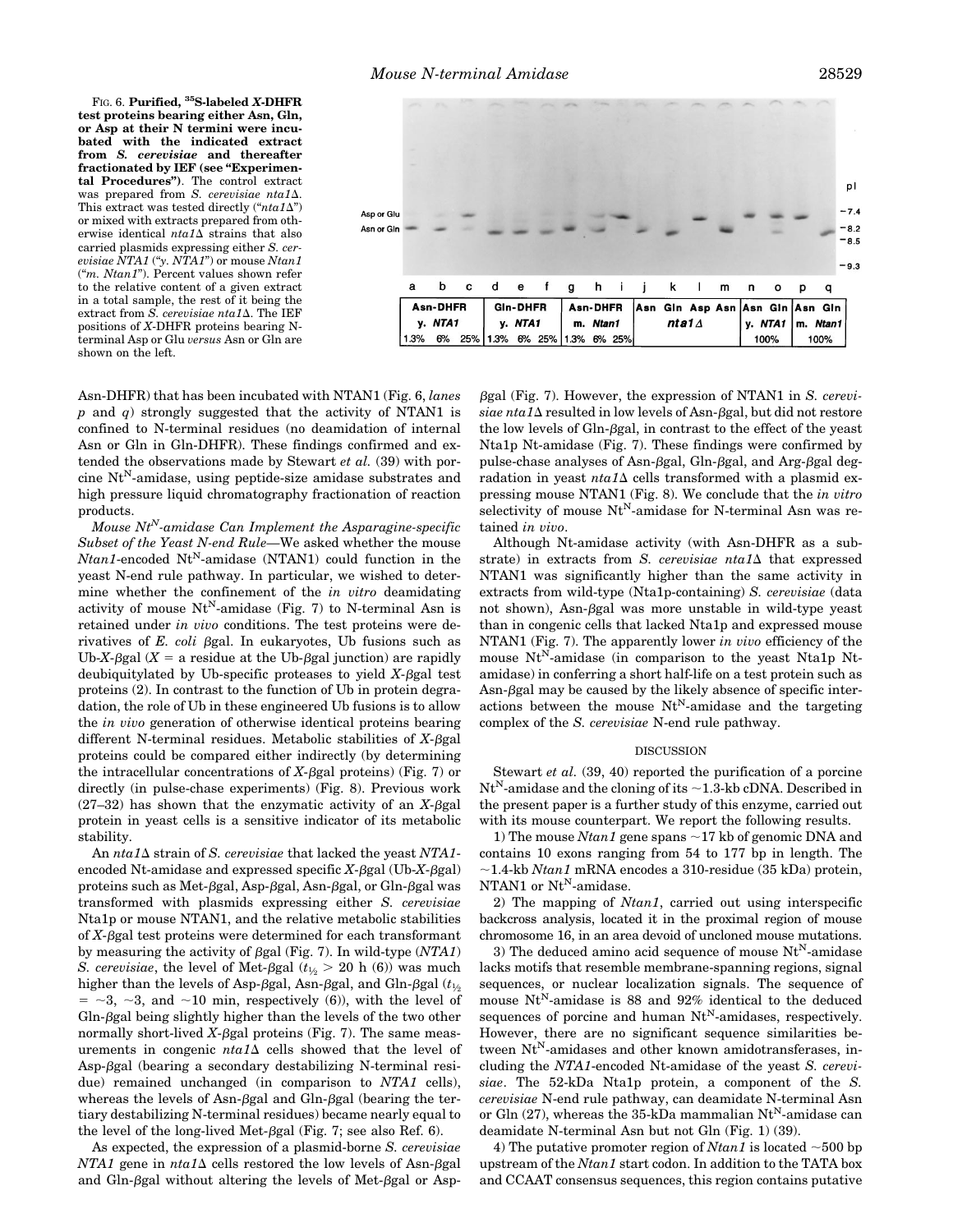FIG. 6. **Purified, 35S-labeled** *X***-DHFR test proteins bearing either Asn, Gln, or Asp at their N termini were incubated with the indicated extract from** *S. cerevisiae* **and thereafter fractionated by IEF (see "Experimental Procedures")**. The control extract was prepared from *S. cerevisiae nta1* $\Delta$ . This extract was tested directly  $("nta1\Delta")$ or mixed with extracts prepared from otherwise identical *nta1*D strains that also carried plasmids expressing either *S. cerevisiae NTA1* ("*y. NTA1*") or mouse *Ntan1* ("*m. Ntan1*"). Percent values shown refer to the relative content of a given extract

in a total sample, the rest of it being the extract from *S. cerevisiae nta1* A. The IEF positions of *X*-DHFR proteins bearing Nterminal Asp or Glu *versus* Asn or Gln are shown on the left.



Asn-DHFR) that has been incubated with NTAN1 (Fig. 6, *lanes p* and *q*) strongly suggested that the activity of NTAN1 is confined to N-terminal residues (no deamidation of internal Asn or Gln in Gln-DHFR). These findings confirmed and extended the observations made by Stewart *et al.* (39) with porcine  $Nt^N$ -amidase, using peptide-size amidase substrates and high pressure liquid chromatography fractionation of reaction products.

*Mouse NtN-amidase Can Implement the Asparagine-specific Subset of the Yeast N-end Rule—*We asked whether the mouse  $Ntan1$ -encoded  $Nt<sup>N</sup>$ -amidase (NTAN1) could function in the yeast N-end rule pathway. In particular, we wished to determine whether the confinement of the *in vitro* deamidating activity of mouse  $Nt^N$ -amidase (Fig. 7) to N-terminal Asn is retained under *in vivo* conditions. The test proteins were derivatives of *E. coli* bgal. In eukaryotes, Ub fusions such as Ub-*X*- $\beta$ gal (*X* = a residue at the Ub- $\beta$ gal junction) are rapidly deubiquitylated by Ub-specific proteases to yield  $X$ - $\beta$ gal test proteins (2). In contrast to the function of Ub in protein degradation, the role of Ub in these engineered Ub fusions is to allow the *in vivo* generation of otherwise identical proteins bearing different N-terminal residues. Metabolic stabilities of  $X$ - $\beta$ gal proteins could be compared either indirectly (by determining the intracellular concentrations of  $X$ - $\beta$ gal proteins) (Fig. 7) or directly (in pulse-chase experiments) (Fig. 8). Previous work  $(27-32)$  has shown that the enzymatic activity of an *X*- $\beta$ gal protein in yeast cells is a sensitive indicator of its metabolic stability.

An *nta1*D strain of *S. cerevisiae* that lacked the yeast *NTA1* encoded Nt-amidase and expressed specific  $X$ - $\beta$ gal (Ub- $X$ - $\beta$ gal) proteins such as Met- $\beta$ gal, Asp- $\beta$ gal, Asn- $\beta$ gal, or Gln- $\beta$ gal was transformed with plasmids expressing either *S. cerevisiae* Nta1p or mouse NTAN1, and the relative metabolic stabilities of  $X$ - $\beta$ gal test proteins were determined for each transformant by measuring the activity of  $\beta$ gal (Fig. 7). In wild-type (*NTA1*) *S. cerevisiae*, the level of Met- $\beta$ gal ( $t_{1/2}$  > 20 h (6)) was much higher than the levels of Asp- $\beta$ gal, Asn- $\beta$ gal, and Gln- $\beta$ gal ( $t_{1/2}$ )  $=$   $\sim$ 3,  $\sim$ 3, and  $\sim$ 10 min, respectively (6)), with the level of  $G$ ln- $\beta$ gal being slightly higher than the levels of the two other normally short-lived  $X$ - $\beta$ gal proteins (Fig. 7). The same measurements in congenic  $nta1\Delta$  cells showed that the level of  $Asp-\beta gal$  (bearing a secondary destabilizing N-terminal residue) remained unchanged (in comparison to *NTA1* cells), whereas the levels of Asn- $\beta$ gal and Gln- $\beta$ gal (bearing the tertiary destabilizing N-terminal residues) became nearly equal to the level of the long-lived Met- $\beta$ gal (Fig. 7; see also Ref. 6).

As expected, the expression of a plasmid-borne *S. cerevisiae NTA1* gene in  $nta1\Delta$  cells restored the low levels of Asn- $\beta$ gal and Gln- $\beta$ gal without altering the levels of Met- $\beta$ gal or Aspbgal (Fig. 7). However, the expression of NTAN1 in *S. cerevi* $siae nta1\Delta$  resulted in low levels of Asn- $\beta$ gal, but did not restore the low levels of  $G\ln\beta$ gal, in contrast to the effect of the yeast Nta1p Nt-amidase (Fig. 7). These findings were confirmed by pulse-chase analyses of Asn-βgal, Gln-βgal, and Arg-βgal degradation in yeast  $nta1\Delta$  cells transformed with a plasmid expressing mouse NTAN1 (Fig. 8). We conclude that the *in vitro* selectivity of mouse  $Nt^N$ -amidase for N-terminal Asn was retained *in vivo*.

Although Nt-amidase activity (with Asn-DHFR as a substrate) in extracts from *S. cerevisiae nta1* $\Delta$  that expressed NTAN1 was significantly higher than the same activity in extracts from wild-type (Nta1p-containing) *S. cerevisiae* (data not shown), Asn- $\beta$ gal was more unstable in wild-type yeast than in congenic cells that lacked Nta1p and expressed mouse NTAN1 (Fig. 7). The apparently lower *in vivo* efficiency of the mouse Nt<sup>N</sup>-amidase (in comparison to the yeast Nta1p Ntamidase) in conferring a short half-life on a test protein such as  $\text{Asn-}\beta$ gal may be caused by the likely absence of specific interactions between the mouse  $Nt^N$ -amidase and the targeting complex of the *S. cerevisiae* N-end rule pathway.

#### DISCUSSION

Stewart *et al.* (39, 40) reported the purification of a porcine  $Nt<sup>N</sup>$ -amidase and the cloning of its  $\sim$ 1.3-kb cDNA. Described in the present paper is a further study of this enzyme, carried out with its mouse counterpart. We report the following results.

1) The mouse *Ntan1* gene spans  $\sim$ 17 kb of genomic DNA and contains 10 exons ranging from 54 to 177 bp in length. The  $\sim$ 1.4-kb *Ntan1* mRNA encodes a 310-residue (35 kDa) protein, NTAN1 or  $Nt^N$ -amidase.

2) The mapping of *Ntan1*, carried out using interspecific backcross analysis, located it in the proximal region of mouse chromosome 16, in an area devoid of uncloned mouse mutations.

3) The deduced amino acid sequence of mouse  $Nt^N$ -amidase lacks motifs that resemble membrane-spanning regions, signal sequences, or nuclear localization signals. The sequence of mouse  $Nt^N$ -amidase is 88 and 92% identical to the deduced sequences of porcine and human  $Nt^N$ -amidases, respectively. However, there are no significant sequence similarities between Nt<sup>N</sup>-amidases and other known amidotransferases, including the *NTA1*-encoded Nt-amidase of the yeast *S. cerevisiae*. The 52-kDa Nta1p protein, a component of the *S. cerevisiae* N-end rule pathway, can deamidate N-terminal Asn or Gln (27), whereas the 35-kDa mammalian  $\rm{Nt^{N}\text{-}amidase}$  can deamidate N-terminal Asn but not Gln (Fig. 1) (39).

4) The putative promoter region of  $N \tan 1$  is located  $\sim 500$  bp upstream of the *Ntan1* start codon. In addition to the TATA box and CCAAT consensus sequences, this region contains putative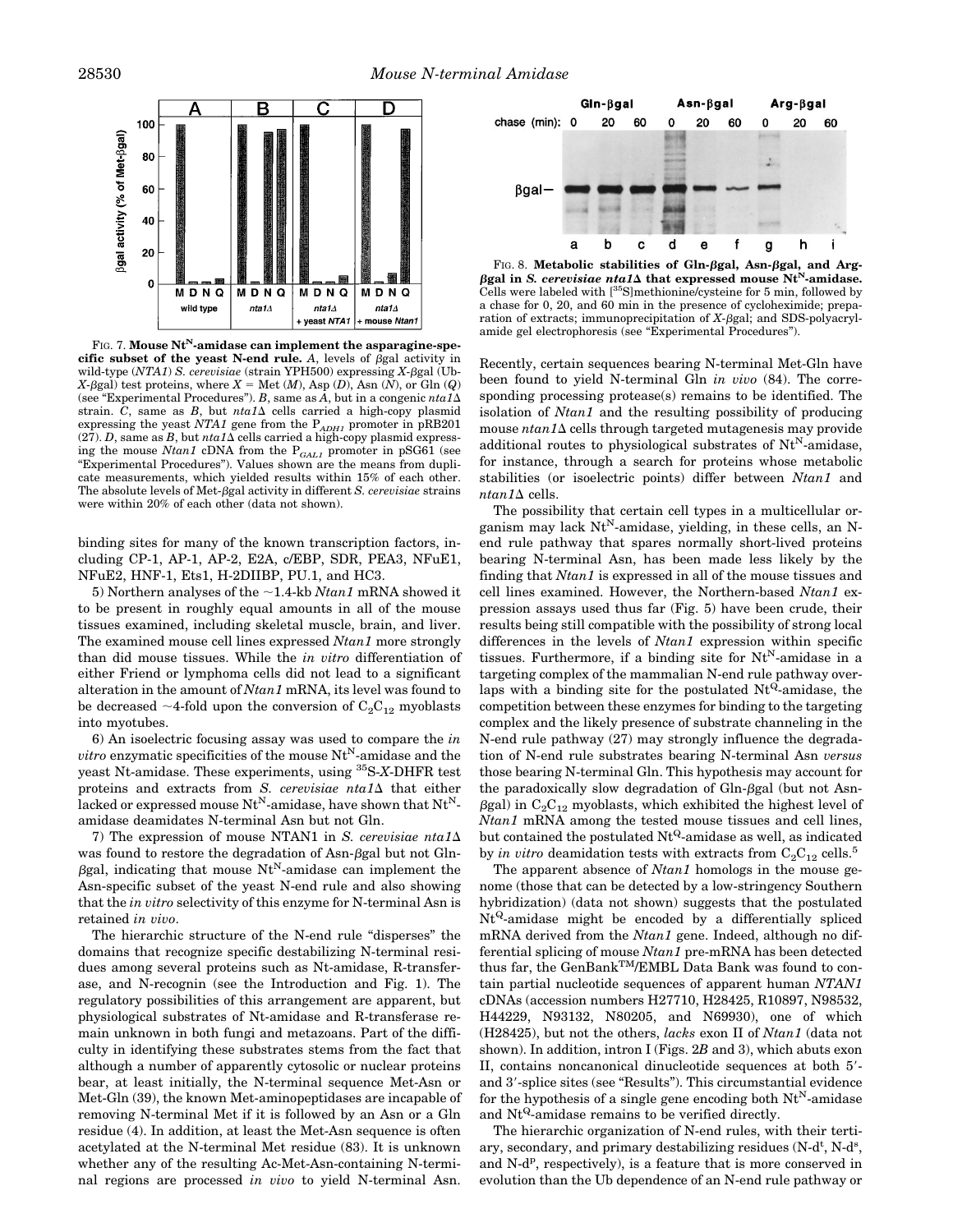

FIG. 7. **Mouse Nt<sup>N</sup>-amidase can implement the asparagine-specific subset of the yeast N-end rule.** A, levels of  $\beta$ gal activity in wild-type (*NTA1*) *S. cerevisiae* (strain YPH500) expressing *X*-βgal (Ub- $X$ - $\beta$ gal) test proteins, where  $X =$  Met (*M*), Asp (*D*), Asn (*N*), or Gln (*Q*) (see "Experimental Procedures"). *B*, same as  $\overline{A}$ , but in a congenic  $nta1\Delta$ strain. *C*, same as *B*, but  $nta1\Delta$  cells carried a high-copy plasmid expressing the yeast *NTA1* gene from the P<sub>ADH1</sub> promoter in pRB201 (27). *D*, same as *B*, but  $nta1\Delta$  cells carried a high-copy plasmid expressing the mouse *Ntan1* cDNA from the  $P_{GALI}$  promoter in pSG61 (see "Experimental Procedures"). Values shown are the means from duplicate measurements, which yielded results within 15% of each other. The absolute levels of Met- $\beta$ gal activity in different *S. cerevisiae* strains were within 20% of each other (data not shown).

binding sites for many of the known transcription factors, including CP-1, AP-1, AP-2, E2A, c/EBP, SDR, PEA3, NFuE1, NFuE2, HNF-1, Ets1, H-2DIIBP, PU.1, and HC3.

5) Northern analyses of the  $\sim$ 1.4-kb *Ntan1* mRNA showed it to be present in roughly equal amounts in all of the mouse tissues examined, including skeletal muscle, brain, and liver. The examined mouse cell lines expressed *Ntan1* more strongly than did mouse tissues. While the *in vitro* differentiation of either Friend or lymphoma cells did not lead to a significant alteration in the amount of *Ntan1* mRNA, its level was found to be decreased  $\sim$ 4-fold upon the conversion of  $C_2C_{12}$  myoblasts into myotubes.

6) An isoelectric focusing assay was used to compare the *in vitro* enzymatic specificities of the mouse Nt<sup>N</sup>-amidase and the yeast Nt-amidase. These experiments, using 35S-*X*-DHFR test proteins and extracts from  $S$ . *cerevisiae nta1* $\Delta$  that either lacked or expressed mouse  $Nt^N$ -amidase, have shown that  $Nt^N$ amidase deamidates N-terminal Asn but not Gln.

7) The expression of mouse NTAN1 in *S. cerevisiae nta1* $\Delta$ was found to restore the degradation of Asn- $\beta$ gal but not Gln- $\beta$ gal, indicating that mouse Nt<sup>N</sup>-amidase can implement the Asn-specific subset of the yeast N-end rule and also showing that the *in vitro* selectivity of this enzyme for N-terminal Asn is retained *in vivo*.

The hierarchic structure of the N-end rule "disperses" the domains that recognize specific destabilizing N-terminal residues among several proteins such as Nt-amidase, R-transferase, and N-recognin (see the Introduction and Fig. 1). The regulatory possibilities of this arrangement are apparent, but physiological substrates of Nt-amidase and R-transferase remain unknown in both fungi and metazoans. Part of the difficulty in identifying these substrates stems from the fact that although a number of apparently cytosolic or nuclear proteins bear, at least initially, the N-terminal sequence Met-Asn or Met-Gln (39), the known Met-aminopeptidases are incapable of removing N-terminal Met if it is followed by an Asn or a Gln residue (4). In addition, at least the Met-Asn sequence is often acetylated at the N-terminal Met residue (83). It is unknown whether any of the resulting Ac-Met-Asn-containing N-terminal regions are processed *in vivo* to yield N-terminal Asn.



FIG. 8. Metabolic stabilities of Gln- $\beta$ gal, Asn- $\beta$ gal, and Arg- $\beta$ gal in *S. cerevisiae nta1* $\Delta$  that expressed mouse Nt<sup>N</sup>-amidase. Cells were labeled with [35S]methionine/cysteine for 5 min, followed by a chase for 0, 20, and 60 min in the presence of cycloheximide; preparation of extracts; immunoprecipitation of  $X$ - $\beta$ gal; and SDS-polyacrylamide gel electrophoresis (see "Experimental Procedures").

Recently, certain sequences bearing N-terminal Met-Gln have been found to yield N-terminal Gln *in vivo* (84). The corresponding processing protease(s) remains to be identified. The isolation of *Ntan1* and the resulting possibility of producing mouse *ntan1*D cells through targeted mutagenesis may provide additional routes to physiological substrates of  $Nt^N$ -amidase, for instance, through a search for proteins whose metabolic stabilities (or isoelectric points) differ between *Ntan1* and  $n \tan 1\Delta$  cells.

The possibility that certain cell types in a multicellular organism may lack  $Nt^N$ -amidase, yielding, in these cells, an Nend rule pathway that spares normally short-lived proteins bearing N-terminal Asn, has been made less likely by the finding that *Ntan1* is expressed in all of the mouse tissues and cell lines examined. However, the Northern-based *Ntan1* expression assays used thus far (Fig. 5) have been crude, their results being still compatible with the possibility of strong local differences in the levels of *Ntan1* expression within specific tissues. Furthermore, if a binding site for  $Nt^N$ -amidase in a targeting complex of the mammalian N-end rule pathway overlaps with a binding site for the postulated  $Nt^{Q}$ -amidase, the competition between these enzymes for binding to the targeting complex and the likely presence of substrate channeling in the N-end rule pathway (27) may strongly influence the degradation of N-end rule substrates bearing N-terminal Asn *versus* those bearing N-terminal Gln. This hypothesis may account for the paradoxically slow degradation of Gln- $\beta$ gal (but not Asn- $\beta$ gal) in C<sub>2</sub>C<sub>12</sub> myoblasts, which exhibited the highest level of *Ntan1* mRNA among the tested mouse tissues and cell lines, but contained the postulated  $Nt^{Q}$ -amidase as well, as indicated by *in vitro* deamidation tests with extracts from  $C_2C_{12}$  cells.<sup>5</sup>

The apparent absence of *Ntan1* homologs in the mouse genome (those that can be detected by a low-stringency Southern hybridization) (data not shown) suggests that the postulated Nt<sup>Q</sup>-amidase might be encoded by a differentially spliced mRNA derived from the *Ntan1* gene. Indeed, although no differential splicing of mouse *Ntan1* pre-mRNA has been detected thus far, the GenBankTM/EMBL Data Bank was found to contain partial nucleotide sequences of apparent human *NTAN1* cDNAs (accession numbers H27710, H28425, R10897, N98532, H44229, N93132, N80205, and N69930), one of which (H28425), but not the others, *lacks* exon II of *Ntan1* (data not shown). In addition, intron I (Figs. 2*B* and 3), which abuts exon II, contains noncanonical dinucleotide sequences at both  $5'$ and 3'-splice sites (see "Results"). This circumstantial evidence for the hypothesis of a single gene encoding both  $Nt^N$ -amidase and  $Nt^{Q}$ -amidase remains to be verified directly.

The hierarchic organization of N-end rules, with their tertiary, secondary, and primary destabilizing residues  $(N-d^t, N-d^s,$ and N-d<sup>p</sup>, respectively), is a feature that is more conserved in evolution than the Ub dependence of an N-end rule pathway or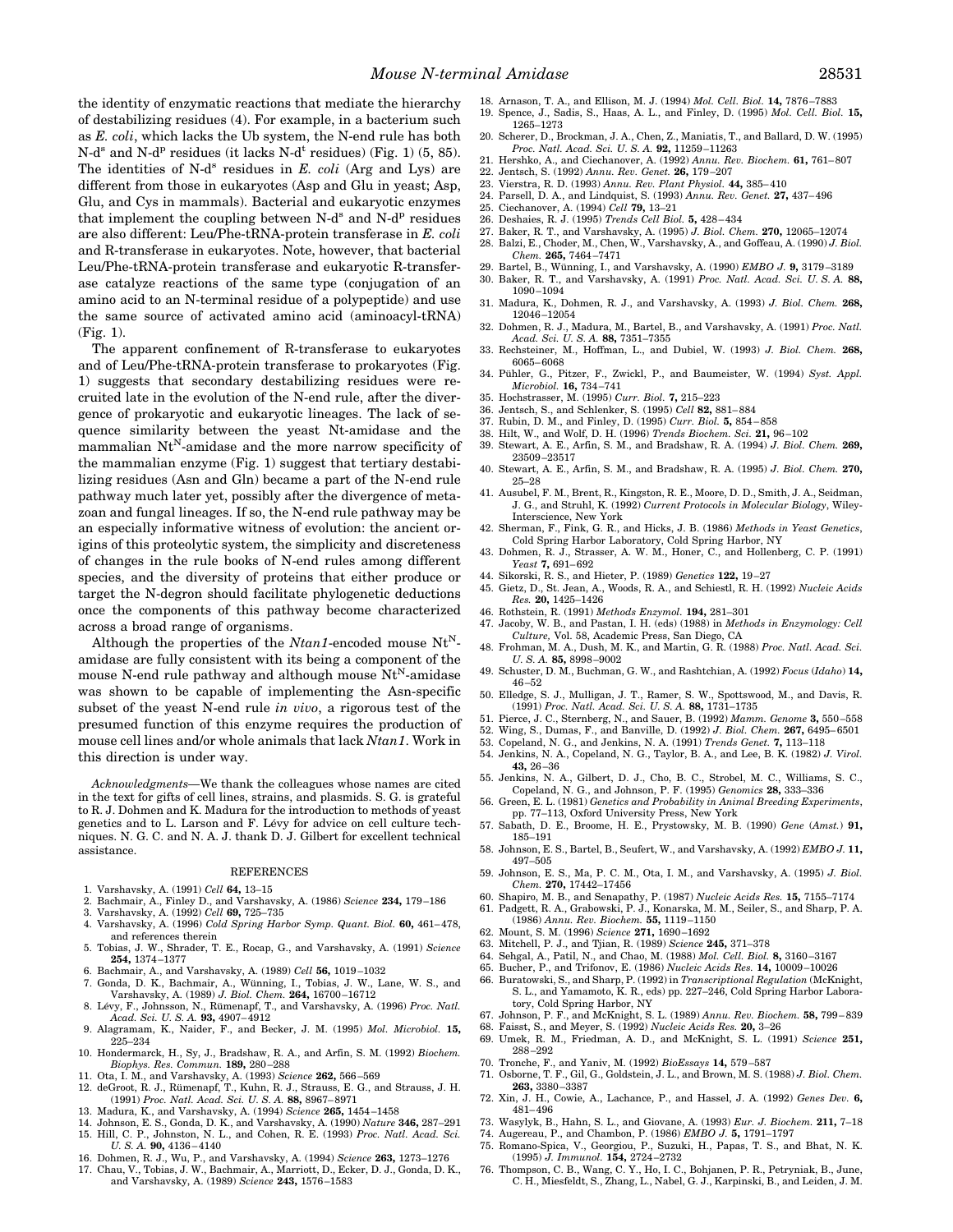the identity of enzymatic reactions that mediate the hierarchy of destabilizing residues (4). For example, in a bacterium such as *E. coli*, which lacks the Ub system, the N-end rule has both  $N-d^s$  and  $N-d^p$  residues (it lacks  $N-d^t$  residues) (Fig. 1) (5, 85). The identities of N-d<sup>s</sup> residues in *E. coli* (Arg and Lys) are different from those in eukaryotes (Asp and Glu in yeast; Asp, Glu, and Cys in mammals). Bacterial and eukaryotic enzymes that implement the coupling between  $N-d^s$  and  $N-d^p$  residues are also different: Leu/Phe-tRNA-protein transferase in *E. coli* and R-transferase in eukaryotes. Note, however, that bacterial Leu/Phe-tRNA-protein transferase and eukaryotic R-transferase catalyze reactions of the same type (conjugation of an amino acid to an N-terminal residue of a polypeptide) and use the same source of activated amino acid (aminoacyl-tRNA) (Fig. 1).

The apparent confinement of R-transferase to eukaryotes and of Leu/Phe-tRNA-protein transferase to prokaryotes (Fig. 1) suggests that secondary destabilizing residues were recruited late in the evolution of the N-end rule, after the divergence of prokaryotic and eukaryotic lineages. The lack of sequence similarity between the yeast Nt-amidase and the mammalian  $Nt^N$ -amidase and the more narrow specificity of the mammalian enzyme (Fig. 1) suggest that tertiary destabilizing residues (Asn and Gln) became a part of the N-end rule pathway much later yet, possibly after the divergence of metazoan and fungal lineages. If so, the N-end rule pathway may be an especially informative witness of evolution: the ancient origins of this proteolytic system, the simplicity and discreteness of changes in the rule books of N-end rules among different species, and the diversity of proteins that either produce or target the N-degron should facilitate phylogenetic deductions once the components of this pathway become characterized across a broad range of organisms.

Although the properties of the  $Ntan1$ -encoded mouse  $Nt^N$ amidase are fully consistent with its being a component of the mouse N-end rule pathway and although mouse  $Nt^N$ -amidase was shown to be capable of implementing the Asn-specific subset of the yeast N-end rule *in vivo*, a rigorous test of the presumed function of this enzyme requires the production of mouse cell lines and/or whole animals that lack *Ntan1*. Work in this direction is under way.

*Acknowledgments—*We thank the colleagues whose names are cited in the text for gifts of cell lines, strains, and plasmids. S. G. is grateful to R. J. Dohmen and K. Madura for the introduction to methods of yeast genetics and to L. Larson and F. Lévy for advice on cell culture techniques. N. G. C. and N. A. J. thank D. J. Gilbert for excellent technical assistance.

#### **REFERENCES**

- 1. Varshavsky, A. (1991) *Cell* **64,** 13–15
- 2. Bachmair, A., Finley D., and Varshavsky, A. (1986) *Science* **234,** 179 –186
- 3. Varshavsky, A. (1992) *Cell* **69,** 725–735
- 4. Varshavsky, A. (1996) *Cold Spring Harbor Symp. Quant. Biol.* **60,** 461– 478, and references therein
- 5. Tobias, J. W., Shrader, T. E., Rocap, G., and Varshavsky, A. (1991) *Science* **254,** 1374 –1377
- 
- 6. Bachmair, A., and Varshavsky, A. (1989) *Cell* 56, 1019–1032<br>7. Gonda, D. K., Bachmair, A., Wünning, I., Tobias, J. W., Lane, W. S., and Varshavsky, A. (1989) *J. Biol. Chem.* **264,** 16700 –16712
- 8. Lévy, F., Johnsson, N., Rümenapf, T., and Varshavsky, A. (1996) Proc. Natl. *Acad. Sci. U. S. A.* **93,** 4907– 4912
- 9. Alagramam, K., Naider, F., and Becker, J. M. (1995) *Mol. Microbiol.* **15,** 225–234
- 10. Hondermarck, H., Sy, J., Bradshaw, R. A., and Arfin, S. M. (1992) *Biochem. Biophys. Res. Commun.* **189,** 280 –288
- 11. Ota, I. M., and Varshavsky, A. (1993) *Science* **262,** 566 –569
- 12. deGroot, R. J., Rümenapf, T., Kuhn, R. J., Strauss, E. G., and Strauss, J. H. (1991) *Proc. Natl. Acad. Sci. U. S. A.* **88,** 8967– 8971
- 13. Madura, K., and Varshavsky, A. (1994) *Science* **265,** 1454 –1458
- 14. Johnson, E. S., Gonda, D. K., and Varshavsky, A. (1990) *Nature* **346,** 287–291 15. Hill, C. P., Johnston, N. L., and Cohen, R. E. (1993) *Proc. Natl. Acad. Sci. U. S. A.* **90,** 4136 – 4140
- 16. Dohmen, R. J., Wu, P., and Varshavsky, A. (1994) *Science* **263,** 1273–1276
- 17. Chau, V., Tobias, J. W., Bachmair, A., Marriott, D., Ecker, D. J., Gonda, D. K., and Varshavsky, A. (1989) *Science* **243,** 1576 –1583
- 18. Arnason, T. A., and Ellison, M. J. (1994) *Mol. Cell. Biol.* **14,** 7876 –7883 19. Spence, J., Sadis, S., Haas, A. L., and Finley, D. (1995) *Mol. Cell. Biol.* **15,**
- 1265–1273 20. Scherer, D., Brockman, J. A., Chen, Z., Maniatis, T., and Ballard, D. W. (1995)
- *Proc. Natl. Acad. Sci. U. S. A.* **92,** 11259 –11263 21. Hershko, A., and Ciechanover, A. (1992) *Annu. Rev. Biochem.* **61,** 761– 807
- 
- 22. Jentsch, S. (1992) *Annu. Rev. Genet.* **26,** 179 –207 23. Vierstra, R. D. (1993) *Annu. Rev. Plant Physiol.* **44,** 385– 410
- 24. Parsell, D. A., and Lindquist, S. (1993) *Annu. Rev. Genet.* **27,** 437– 496
- 25. Ciechanover, A. (1994) *Cell* **79,** 13–21
- 26. Deshaies, R. J. (1995) *Trends Cell Biol.* **5,** 428 434
- 
- 27. Baker, R. T., and Varshavsky, A. (1995) *J. Biol. Chem.* **270,** 12065–12074 28. Balzi, E., Choder, M., Chen, W., Varshavsky, A., and Goffeau, A. (1990) *J. Biol. Chem.* **265,** 7464 –7471
- 29. Bartel, B., Wünning, I., and Varshavsky, A. (1990) *EMBO J.* 9, 3179-3189
- 30. Baker, R. T., and Varshavsky, A. (1991) *Proc. Natl. Acad. Sci. U. S. A.* **88,** 1090 –1094
- 31. Madura, K., Dohmen, R. J., and Varshavsky, A. (1993) *J. Biol. Chem.* **268,** 12046 –12054
- 32. Dohmen, R. J., Madura, M., Bartel, B., and Varshavsky, A. (1991) *Proc. Natl. Acad. Sci. U. S. A.* **88,** 7351–7355
- 33. Rechsteiner, M., Hoffman, L., and Dubiel, W. (1993) *J. Biol. Chem.* **268,** 6065– 6068
- 34. Pühler, G., Pitzer, F., Zwickl, P., and Baumeister, W. (1994) Syst. Appl. *Microbiol.* **16,** 734 –741
- 35. Hochstrasser, M. (1995) *Curr. Biol.* **7,** 215–223
- 36. Jentsch, S., and Schlenker, S. (1995) *Cell* **82,** 881– 884
- 37. Rubin, D. M., and Finley, D. (1995) *Curr. Biol.* **5,** 854 858
- 38. Hilt, W., and Wolf, D. H. (1996) *Trends Biochem. Sci.* **21,** 96 –102
- 39. Stewart, A. E., Arfin, S. M., and Bradshaw, R. A. (1994) *J. Biol. Chem.* **269,** 23509 –23517
- 40. Stewart, A. E., Arfin, S. M., and Bradshaw, R. A. (1995) *J. Biol. Chem.* **270,** 25–28
- 41. Ausubel, F. M., Brent, R., Kingston, R. E., Moore, D. D., Smith, J. A., Seidman, J. G., and Struhl, K. (1992) *Current Protocols in Molecular Biology*, Wiley-Interscience, New York
- 42. Sherman, F., Fink, G. R., and Hicks, J. B. (1986) *Methods in Yeast Genetics*, Cold Spring Harbor Laboratory, Cold Spring Harbor, NY
- 43. Dohmen, R. J., Strasser, A. W. M., Honer, C., and Hollenberg, C. P. (1991) *Yeast* **7,** 691– 692
- 44. Sikorski, R. S., and Hieter, P. (1989) *Genetics* **122,** 19 –27
- 45. Gietz, D., St. Jean, A., Woods, R. A., and Schiestl, R. H. (1992) *Nucleic Acids Res.* **20,** 1425–1426
- 46. Rothstein, R. (1991) *Methods Enzymol.* **194,** 281–301
- 47. Jacoby, W. B., and Pastan, I. H. (eds) (1988) in *Methods in Enzymology: Cell Culture,* Vol. 58, Academic Press, San Diego, CA
- 48. Frohman, M. A., Dush, M. K., and Martin, G. R. (1988) *Proc. Natl. Acad. Sci. U. S. A.* **85,** 8998 –9002
- 49. Schuster, D. M., Buchman, G. W., and Rashtchian, A. (1992) *Focus* (*Idaho*) **14,** 46 –52
- 50. Elledge, S. J., Mulligan, J. T., Ramer, S. W., Spottswood, M., and Davis, R. (1991) *Proc. Natl. Acad. Sci. U. S. A.* **88,** 1731–1735
- 51. Pierce, J. C., Sternberg, N., and Sauer, B. (1992) *Mamm. Genome* **3,** 550 –558
- 52. Wing, S., Dumas, F., and Banville, D. (1992) *J. Biol. Chem.* **267,** 6495– 6501
- 53. Copeland, N. G., and Jenkins, N. A. (1991) *Trends Genet.* **7,** 113–118
- 54. Jenkins, N. A., Copeland, N. G., Taylor, B. A., and Lee, B. K. (1982) *J. Virol.* **43,** 26 –36
- 55. Jenkins, N. A., Gilbert, D. J., Cho, B. C., Strobel, M. C., Williams, S. C., Copeland, N. G., and Johnson, P. F. (1995) *Genomics* **28,** 333–336
- 56. Green, E. L. (1981) *Genetics and Probability in Animal Breeding Experiments*, pp. 77–113, Oxford University Press, New York
- 57. Sabath, D. E., Broome, H. E., Prystowsky, M. B. (1990) *Gene* (*Amst.*) **91,** 185–191
- 58. Johnson, E. S., Bartel, B., Seufert, W., and Varshavsky, A. (1992) *EMBO J.* **11,** 497–505
- 59. Johnson, E. S., Ma, P. C. M., Ota, I. M., and Varshavsky, A. (1995) *J. Biol. Chem.* **270,** 17442–17456
- 60. Shapiro, M. B., and Senapathy, P. (1987) *Nucleic Acids Res.* **15,** 7155–7174 61. Padgett, R. A., Grabowski, P. J., Konarska, M. M., Seiler, S., and Sharp, P. A.
- (1986) *Annu. Rev. Biochem.* **55,** 1119 –1150
- 62. Mount, S. M. (1996) *Science* **271,** 1690 –1692
- 63. Mitchell, P. J., and Tjian, R. (1989) *Science* **245,** 371–378
- 64. Sehgal, A., Patil, N., and Chao, M. (1988) *Mol. Cell. Biol.* **8,** 3160 –3167
- 65. Bucher, P., and Trifonov, E. (1986) *Nucleic Acids Res.* **14,** 10009 –10026 66. Buratowski, S., and Sharp, P. (1992) in *Transcriptional Regulation* (McKnight, S. L., and Yamamoto, K. R., eds) pp. 227–246, Cold Spring Harbor Laboratory, Cold Spring Harbor, NY
- 67. Johnson, P. F., and McKnight, S. L. (1989) *Annu. Rev. Biochem.* **58,** 799 839 68. Faisst, S., and Meyer, S. (1992) *Nucleic Acids Res.* **20,** 3–26
- 69. Umek, R. M., Friedman, A. D., and McKnight, S. L. (1991) *Science* **251,** 288 –292
- 70. Tronche, F., and Yaniv, M. (1992) *BioEssays* **14,** 579 –587
- 71. Osborne, T. F., Gil, G., Goldstein, J. L., and Brown, M. S. (1988) *J. Biol. Chem.* **263,** 3380 –3387
- 72. Xin, J. H., Cowie, A., Lachance, P., and Hassel, J. A. (1992) *Genes Dev.* **6,** 481– 496
- 73. Wasylyk, B., Hahn, S. L., and Giovane, A. (1993) *Eur. J. Biochem.* **211,** 7–18
- 74. Augereau, P., and Chambon, P. (1986) *EMBO J.* **5,** 1791–1797
- 75. Romano-Spica, V., Georgiou, P., Suzuki, H., Papas, T. S., and Bhat, N. K. (1995) *J. Immunol.* **154,** 2724 –2732
- 76. Thompson, C. B., Wang, C. Y., Ho, I. C., Bohjanen, P. R., Petryniak, B., June, C. H., Miesfeldt, S., Zhang, L., Nabel, G. J., Karpinski, B., and Leiden, J. M.